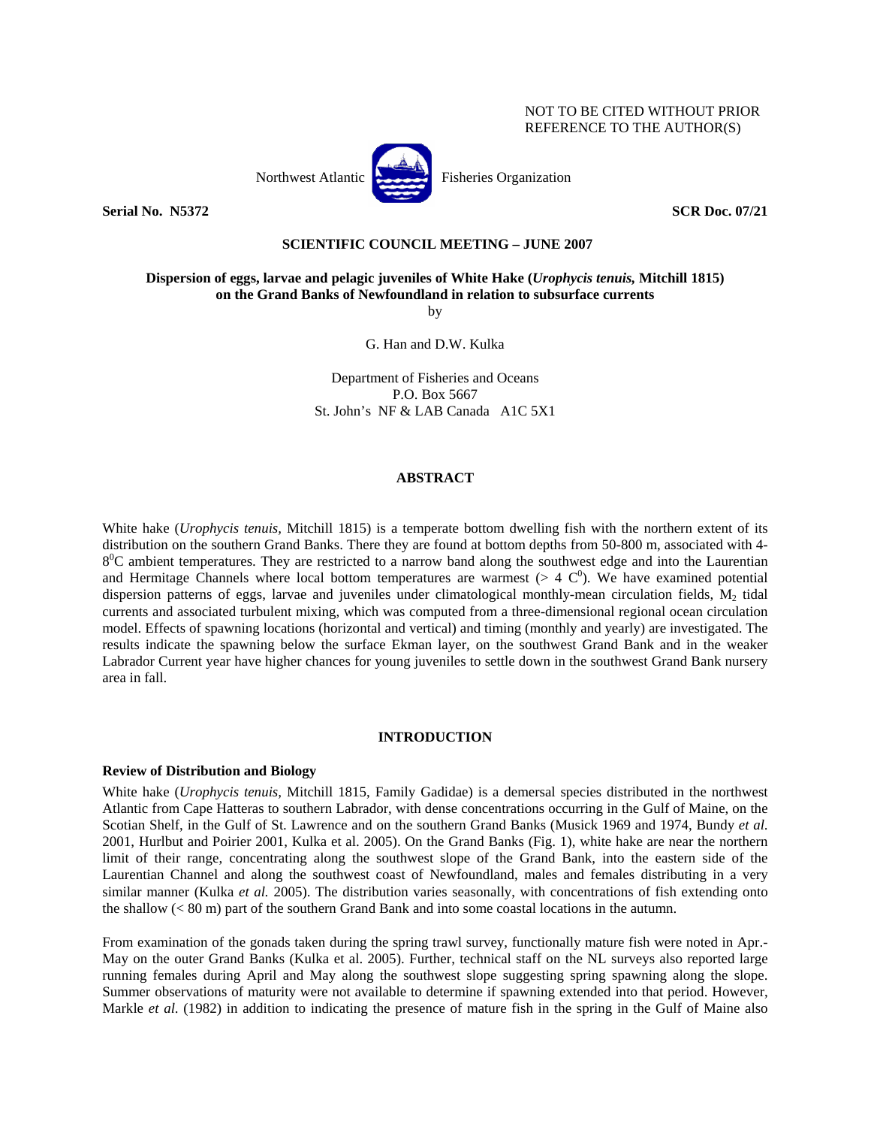

**Serial No. 32372** SCR Doc. 07/21 **SCR Doc.** 07/21

# **SCIENTIFIC COUNCIL MEETING – JUNE 2007**

**Dispersion of eggs, larvae and pelagic juveniles of White Hake (***Urophycis tenuis,* **Mitchill 1815) on the Grand Banks of Newfoundland in relation to subsurface currents** 

by

G. Han and D.W. Kulka

Department of Fisheries and Oceans P.O. Box 5667 St. John's NF & LAB Canada A1C 5X1

# **ABSTRACT**

White hake (*Urophycis tenuis,* Mitchill 1815) is a temperate bottom dwelling fish with the northern extent of its distribution on the southern Grand Banks. There they are found at bottom depths from 50-800 m, associated with 4-  $8^0C$  ambient temperatures. They are restricted to a narrow band along the southwest edge and into the Laurentian and Hermitage Channels where local bottom temperatures are warmest ( $> 4 \text{ C}^0$ ). We have examined potential dispersion patterns of eggs, larvae and juveniles under climatological monthly-mean circulation fields,  $M_2$  tidal currents and associated turbulent mixing, which was computed from a three-dimensional regional ocean circulation model. Effects of spawning locations (horizontal and vertical) and timing (monthly and yearly) are investigated. The results indicate the spawning below the surface Ekman layer, on the southwest Grand Bank and in the weaker Labrador Current year have higher chances for young juveniles to settle down in the southwest Grand Bank nursery area in fall.

# **INTRODUCTION**

## **Review of Distribution and Biology**

White hake (*Urophycis tenuis,* Mitchill 1815, Family Gadidae) is a demersal species distributed in the northwest Atlantic from Cape Hatteras to southern Labrador, with dense concentrations occurring in the Gulf of Maine, on the Scotian Shelf, in the Gulf of St. Lawrence and on the southern Grand Banks (Musick 1969 and 1974, Bundy *et al*. 2001, Hurlbut and Poirier 2001, Kulka et al. 2005). On the Grand Banks (Fig. 1), white hake are near the northern limit of their range, concentrating along the southwest slope of the Grand Bank, into the eastern side of the Laurentian Channel and along the southwest coast of Newfoundland, males and females distributing in a very similar manner (Kulka *et al.* 2005). The distribution varies seasonally, with concentrations of fish extending onto the shallow (< 80 m) part of the southern Grand Bank and into some coastal locations in the autumn.

From examination of the gonads taken during the spring trawl survey, functionally mature fish were noted in Apr.- May on the outer Grand Banks (Kulka et al. 2005). Further, technical staff on the NL surveys also reported large running females during April and May along the southwest slope suggesting spring spawning along the slope. Summer observations of maturity were not available to determine if spawning extended into that period. However, Markle *et al*. (1982) in addition to indicating the presence of mature fish in the spring in the Gulf of Maine also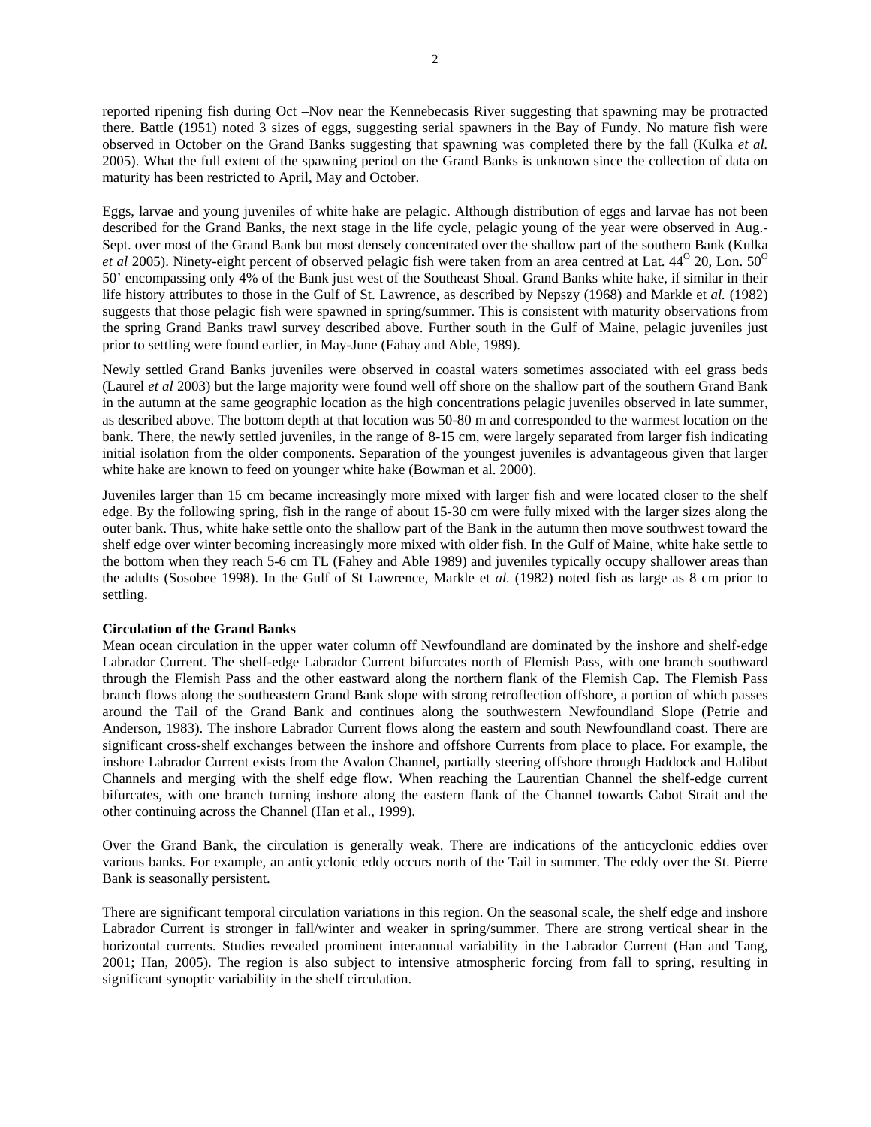reported ripening fish during Oct –Nov near the Kennebecasis River suggesting that spawning may be protracted there. Battle (1951) noted 3 sizes of eggs, suggesting serial spawners in the Bay of Fundy. No mature fish were observed in October on the Grand Banks suggesting that spawning was completed there by the fall (Kulka *et al.* 2005). What the full extent of the spawning period on the Grand Banks is unknown since the collection of data on maturity has been restricted to April, May and October.

Eggs, larvae and young juveniles of white hake are pelagic. Although distribution of eggs and larvae has not been described for the Grand Banks, the next stage in the life cycle, pelagic young of the year were observed in Aug.- Sept. over most of the Grand Bank but most densely concentrated over the shallow part of the southern Bank (Kulka *et al 2005*). Ninety-eight percent of observed pelagic fish were taken from an area centred at Lat. 44<sup>o</sup> 20, Lon. 50<sup>o</sup> 50' encompassing only 4% of the Bank just west of the Southeast Shoal. Grand Banks white hake, if similar in their life history attributes to those in the Gulf of St. Lawrence, as described by Nepszy (1968) and Markle et *al.* (1982) suggests that those pelagic fish were spawned in spring/summer. This is consistent with maturity observations from the spring Grand Banks trawl survey described above. Further south in the Gulf of Maine, pelagic juveniles just prior to settling were found earlier, in May-June (Fahay and Able, 1989).

Newly settled Grand Banks juveniles were observed in coastal waters sometimes associated with eel grass beds (Laurel *et al* 2003) but the large majority were found well off shore on the shallow part of the southern Grand Bank in the autumn at the same geographic location as the high concentrations pelagic juveniles observed in late summer, as described above. The bottom depth at that location was 50-80 m and corresponded to the warmest location on the bank. There, the newly settled juveniles, in the range of 8-15 cm, were largely separated from larger fish indicating initial isolation from the older components. Separation of the youngest juveniles is advantageous given that larger white hake are known to feed on younger white hake (Bowman et al. 2000).

Juveniles larger than 15 cm became increasingly more mixed with larger fish and were located closer to the shelf edge. By the following spring, fish in the range of about 15-30 cm were fully mixed with the larger sizes along the outer bank. Thus, white hake settle onto the shallow part of the Bank in the autumn then move southwest toward the shelf edge over winter becoming increasingly more mixed with older fish. In the Gulf of Maine, white hake settle to the bottom when they reach 5-6 cm TL (Fahey and Able 1989) and juveniles typically occupy shallower areas than the adults (Sosobee 1998). In the Gulf of St Lawrence, Markle et *al.* (1982) noted fish as large as 8 cm prior to settling.

# **Circulation of the Grand Banks**

Mean ocean circulation in the upper water column off Newfoundland are dominated by the inshore and shelf-edge Labrador Current. The shelf-edge Labrador Current bifurcates north of Flemish Pass, with one branch southward through the Flemish Pass and the other eastward along the northern flank of the Flemish Cap. The Flemish Pass branch flows along the southeastern Grand Bank slope with strong retroflection offshore, a portion of which passes around the Tail of the Grand Bank and continues along the southwestern Newfoundland Slope (Petrie and Anderson, 1983). The inshore Labrador Current flows along the eastern and south Newfoundland coast. There are significant cross-shelf exchanges between the inshore and offshore Currents from place to place. For example, the inshore Labrador Current exists from the Avalon Channel, partially steering offshore through Haddock and Halibut Channels and merging with the shelf edge flow. When reaching the Laurentian Channel the shelf-edge current bifurcates, with one branch turning inshore along the eastern flank of the Channel towards Cabot Strait and the other continuing across the Channel (Han et al., 1999).

Over the Grand Bank, the circulation is generally weak. There are indications of the anticyclonic eddies over various banks. For example, an anticyclonic eddy occurs north of the Tail in summer. The eddy over the St. Pierre Bank is seasonally persistent.

There are significant temporal circulation variations in this region. On the seasonal scale, the shelf edge and inshore Labrador Current is stronger in fall/winter and weaker in spring/summer. There are strong vertical shear in the horizontal currents. Studies revealed prominent interannual variability in the Labrador Current (Han and Tang, 2001; Han, 2005). The region is also subject to intensive atmospheric forcing from fall to spring, resulting in significant synoptic variability in the shelf circulation.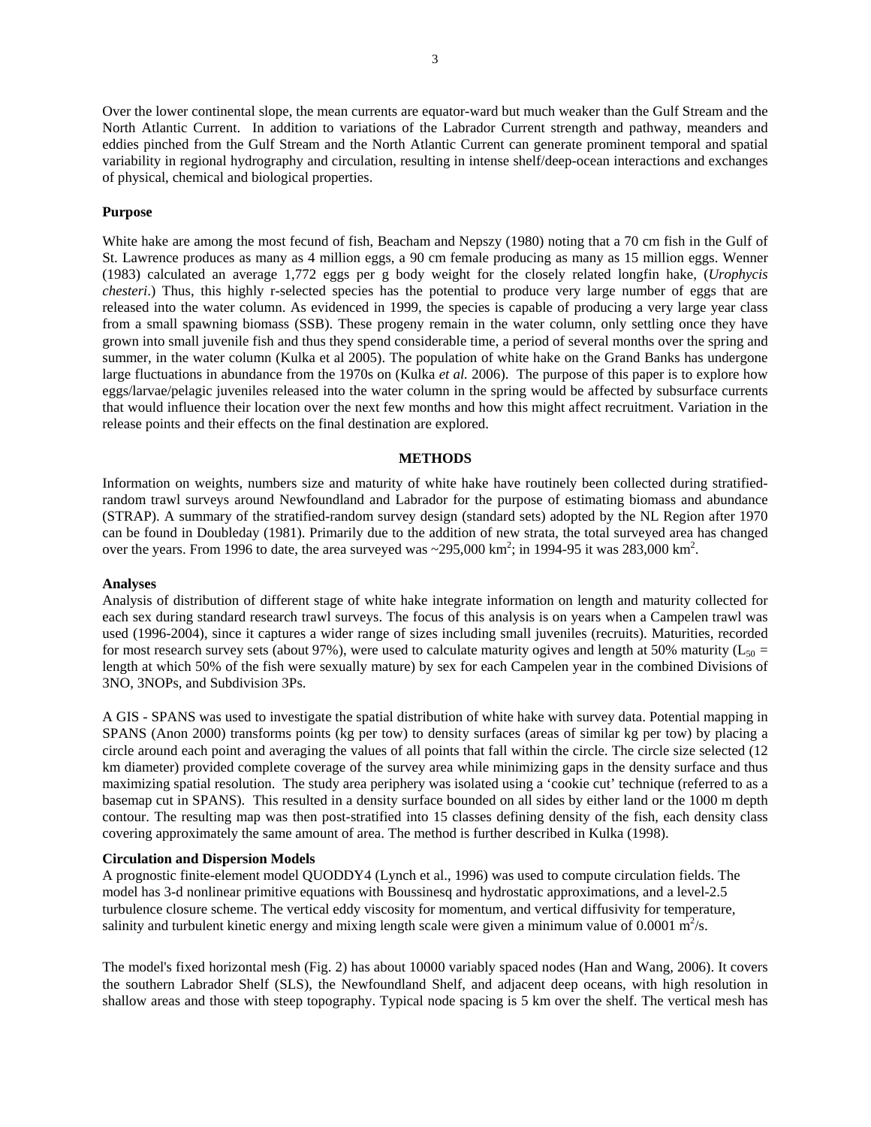Over the lower continental slope, the mean currents are equator-ward but much weaker than the Gulf Stream and the North Atlantic Current. In addition to variations of the Labrador Current strength and pathway, meanders and eddies pinched from the Gulf Stream and the North Atlantic Current can generate prominent temporal and spatial variability in regional hydrography and circulation, resulting in intense shelf/deep-ocean interactions and exchanges of physical, chemical and biological properties.

# **Purpose**

White hake are among the most fecund of fish, Beacham and Nepszy (1980) noting that a 70 cm fish in the Gulf of St. Lawrence produces as many as 4 million eggs, a 90 cm female producing as many as 15 million eggs. Wenner (1983) calculated an average 1,772 eggs per g body weight for the closely related longfin hake, (*Urophycis chesteri*.) Thus, this highly r-selected species has the potential to produce very large number of eggs that are released into the water column. As evidenced in 1999, the species is capable of producing a very large year class from a small spawning biomass (SSB). These progeny remain in the water column, only settling once they have grown into small juvenile fish and thus they spend considerable time, a period of several months over the spring and summer, in the water column (Kulka et al 2005). The population of white hake on the Grand Banks has undergone large fluctuations in abundance from the 1970s on (Kulka *et al.* 2006). The purpose of this paper is to explore how eggs/larvae/pelagic juveniles released into the water column in the spring would be affected by subsurface currents that would influence their location over the next few months and how this might affect recruitment. Variation in the release points and their effects on the final destination are explored.

## **METHODS**

Information on weights, numbers size and maturity of white hake have routinely been collected during stratifiedrandom trawl surveys around Newfoundland and Labrador for the purpose of estimating biomass and abundance (STRAP). A summary of the stratified-random survey design (standard sets) adopted by the NL Region after 1970 can be found in Doubleday (1981). Primarily due to the addition of new strata, the total surveyed area has changed over the years. From 1996 to date, the area surveyed was  $\sim$ 295,000 km<sup>2</sup>; in 1994-95 it was 283,000 km<sup>2</sup>.

## **Analyses**

Analysis of distribution of different stage of white hake integrate information on length and maturity collected for each sex during standard research trawl surveys. The focus of this analysis is on years when a Campelen trawl was used (1996-2004), since it captures a wider range of sizes including small juveniles (recruits). Maturities, recorded for most research survey sets (about 97%), were used to calculate maturity ogives and length at 50% maturity  $(L_{50} =$ length at which 50% of the fish were sexually mature) by sex for each Campelen year in the combined Divisions of 3NO, 3NOPs, and Subdivision 3Ps.

A GIS - SPANS was used to investigate the spatial distribution of white hake with survey data. Potential mapping in SPANS (Anon 2000) transforms points (kg per tow) to density surfaces (areas of similar kg per tow) by placing a circle around each point and averaging the values of all points that fall within the circle. The circle size selected (12 km diameter) provided complete coverage of the survey area while minimizing gaps in the density surface and thus maximizing spatial resolution. The study area periphery was isolated using a 'cookie cut' technique (referred to as a basemap cut in SPANS). This resulted in a density surface bounded on all sides by either land or the 1000 m depth contour. The resulting map was then post-stratified into 15 classes defining density of the fish, each density class covering approximately the same amount of area. The method is further described in Kulka (1998).

### **Circulation and Dispersion Models**

A prognostic finite-element model QUODDY4 (Lynch et al., 1996) was used to compute circulation fields. The model has 3-d nonlinear primitive equations with Boussinesq and hydrostatic approximations, and a level-2.5 turbulence closure scheme. The vertical eddy viscosity for momentum, and vertical diffusivity for temperature, salinity and turbulent kinetic energy and mixing length scale were given a minimum value of 0.0001  $m^2/s$ .

The model's fixed horizontal mesh (Fig. 2) has about 10000 variably spaced nodes (Han and Wang, 2006). It covers the southern Labrador Shelf (SLS), the Newfoundland Shelf, and adjacent deep oceans, with high resolution in shallow areas and those with steep topography. Typical node spacing is 5 km over the shelf. The vertical mesh has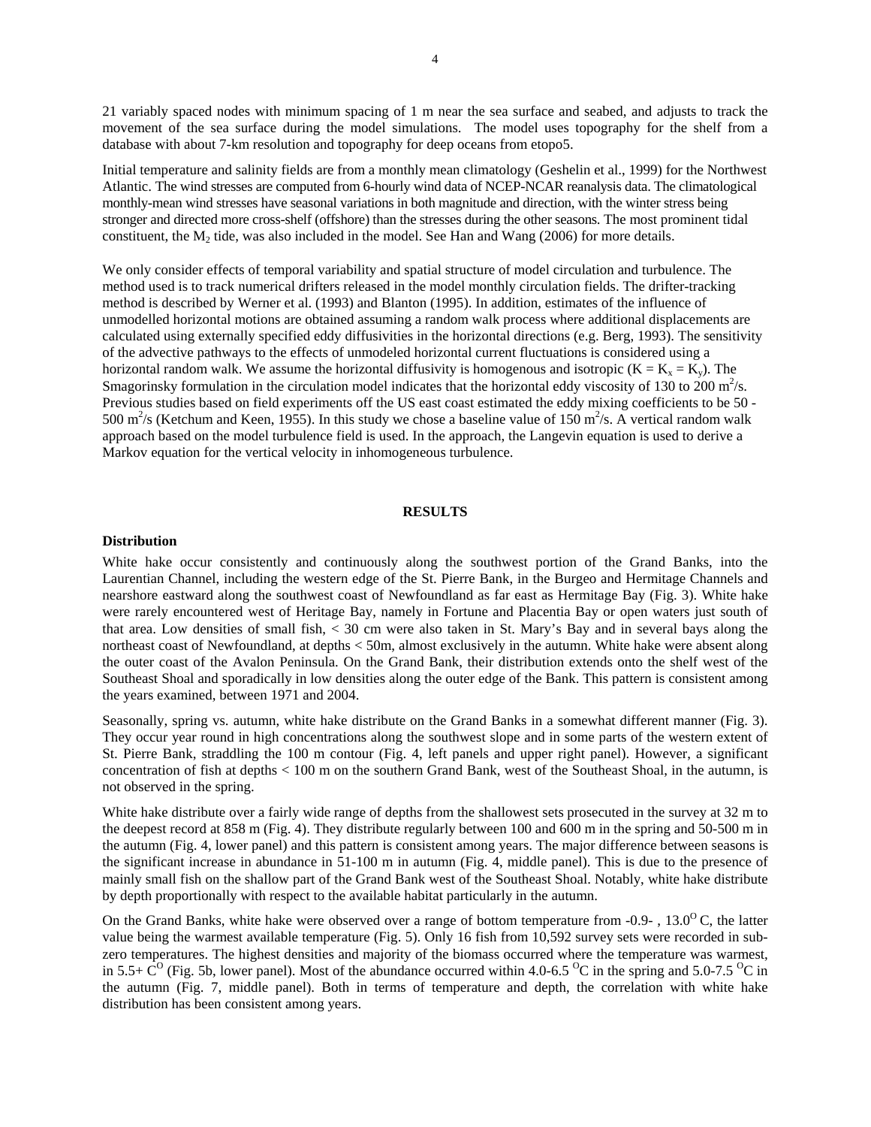21 variably spaced nodes with minimum spacing of 1 m near the sea surface and seabed, and adjusts to track the movement of the sea surface during the model simulations. The model uses topography for the shelf from a database with about 7-km resolution and topography for deep oceans from etopo5.

Initial temperature and salinity fields are from a monthly mean climatology (Geshelin et al., 1999) for the Northwest Atlantic. The wind stresses are computed from 6-hourly wind data of NCEP-NCAR reanalysis data. The climatological monthly-mean wind stresses have seasonal variations in both magnitude and direction, with the winter stress being stronger and directed more cross-shelf (offshore) than the stresses during the other seasons. The most prominent tidal constituent, the  $M_2$  tide, was also included in the model. See Han and Wang (2006) for more details.

We only consider effects of temporal variability and spatial structure of model circulation and turbulence. The method used is to track numerical drifters released in the model monthly circulation fields. The drifter-tracking method is described by Werner et al. (1993) and Blanton (1995). In addition, estimates of the influence of unmodelled horizontal motions are obtained assuming a random walk process where additional displacements are calculated using externally specified eddy diffusivities in the horizontal directions (e.g. Berg, 1993). The sensitivity of the advective pathways to the effects of unmodeled horizontal current fluctuations is considered using a horizontal random walk. We assume the horizontal diffusivity is homogenous and isotropic  $(K = K_x = K_y)$ . The Smagorinsky formulation in the circulation model indicates that the horizontal eddy viscosity of 130 to  $200 \text{ m}^2/\text{s}$ . Previous studies based on field experiments off the US east coast estimated the eddy mixing coefficients to be 50 - 500 m<sup>2</sup>/s (Ketchum and Keen, 1955). In this study we chose a baseline value of 150 m<sup>2</sup>/s. A vertical random walk approach based on the model turbulence field is used. In the approach, the Langevin equation is used to derive a Markov equation for the vertical velocity in inhomogeneous turbulence.

#### **RESULTS**

# **Distribution**

White hake occur consistently and continuously along the southwest portion of the Grand Banks, into the Laurentian Channel, including the western edge of the St. Pierre Bank, in the Burgeo and Hermitage Channels and nearshore eastward along the southwest coast of Newfoundland as far east as Hermitage Bay (Fig. 3). White hake were rarely encountered west of Heritage Bay, namely in Fortune and Placentia Bay or open waters just south of that area. Low densities of small fish, < 30 cm were also taken in St. Mary's Bay and in several bays along the northeast coast of Newfoundland, at depths < 50m, almost exclusively in the autumn. White hake were absent along the outer coast of the Avalon Peninsula. On the Grand Bank, their distribution extends onto the shelf west of the Southeast Shoal and sporadically in low densities along the outer edge of the Bank. This pattern is consistent among the years examined, between 1971 and 2004.

Seasonally, spring vs. autumn, white hake distribute on the Grand Banks in a somewhat different manner (Fig. 3). They occur year round in high concentrations along the southwest slope and in some parts of the western extent of St. Pierre Bank, straddling the 100 m contour (Fig. 4, left panels and upper right panel). However, a significant concentration of fish at depths < 100 m on the southern Grand Bank, west of the Southeast Shoal, in the autumn, is not observed in the spring.

White hake distribute over a fairly wide range of depths from the shallowest sets prosecuted in the survey at 32 m to the deepest record at 858 m (Fig. 4). They distribute regularly between 100 and 600 m in the spring and 50-500 m in the autumn (Fig. 4, lower panel) and this pattern is consistent among years. The major difference between seasons is the significant increase in abundance in 51-100 m in autumn (Fig. 4, middle panel). This is due to the presence of mainly small fish on the shallow part of the Grand Bank west of the Southeast Shoal. Notably, white hake distribute by depth proportionally with respect to the available habitat particularly in the autumn.

On the Grand Banks, white hake were observed over a range of bottom temperature from  $-0.9$ -,  $13.0^{\circ}$ C, the latter value being the warmest available temperature (Fig. 5). Only 16 fish from 10,592 survey sets were recorded in subzero temperatures. The highest densities and majority of the biomass occurred where the temperature was warmest, in 5.5+  $\dot{C}^O$  (Fig. 5b, lower panel). Most of the abundance occurred within 4.0-6.5 <sup>o</sup>C in the spring and 5.0-7.5 <sup>o</sup>C in the autumn (Fig. 7, middle panel). Both in terms of temperature and depth, the correlation with white hake distribution has been consistent among years.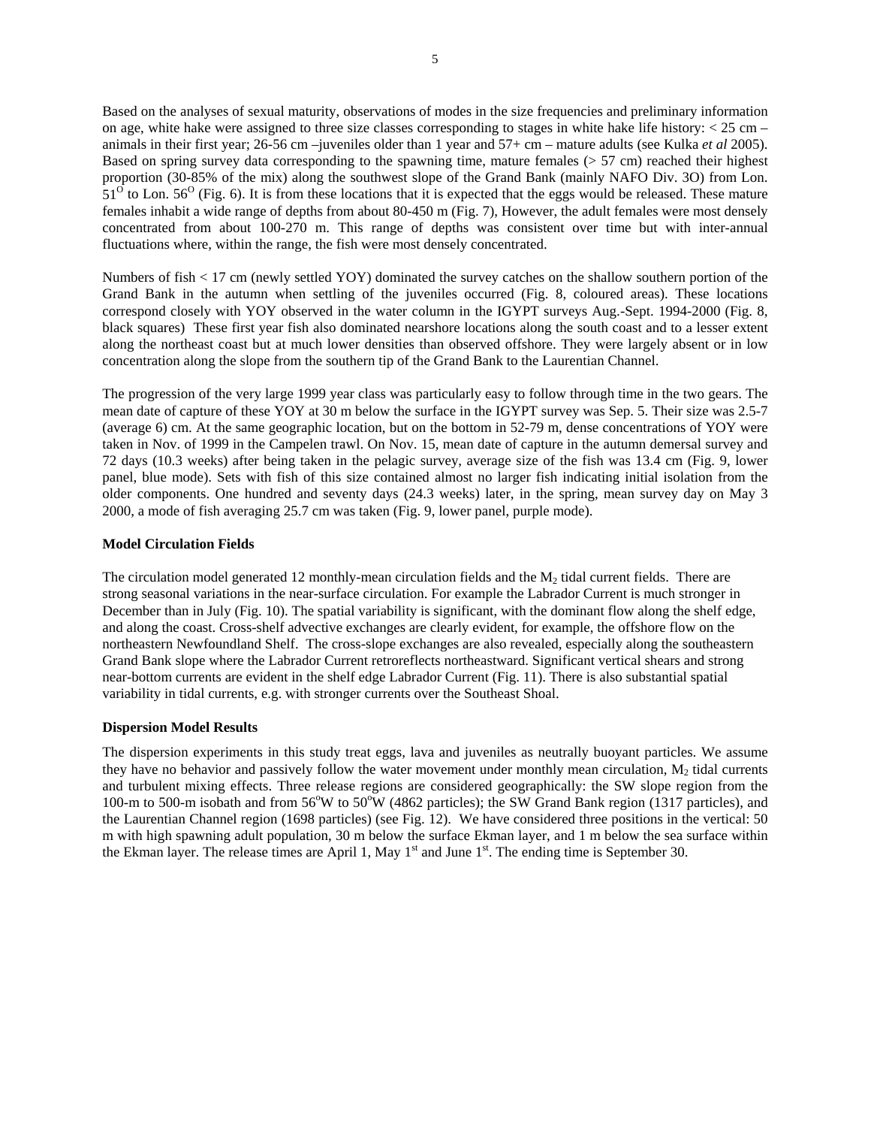Based on the analyses of sexual maturity, observations of modes in the size frequencies and preliminary information on age, white hake were assigned to three size classes corresponding to stages in white hake life history:  $< 25$  cm – animals in their first year; 26-56 cm –juveniles older than 1 year and 57+ cm – mature adults (see Kulka *et al* 2005). Based on spring survey data corresponding to the spawning time, mature females ( $> 57$  cm) reached their highest proportion (30-85% of the mix) along the southwest slope of the Grand Bank (mainly NAFO Div. 3O) from Lon.  $51<sup>0</sup>$  to Lon. 56<sup>o</sup> (Fig. 6). It is from these locations that it is expected that the eggs would be released. These mature females inhabit a wide range of depths from about 80-450 m (Fig. 7), However, the adult females were most densely concentrated from about 100-270 m. This range of depths was consistent over time but with inter-annual fluctuations where, within the range, the fish were most densely concentrated.

Numbers of fish < 17 cm (newly settled YOY) dominated the survey catches on the shallow southern portion of the Grand Bank in the autumn when settling of the juveniles occurred (Fig. 8, coloured areas). These locations correspond closely with YOY observed in the water column in the IGYPT surveys Aug.-Sept. 1994-2000 (Fig. 8, black squares) These first year fish also dominated nearshore locations along the south coast and to a lesser extent along the northeast coast but at much lower densities than observed offshore. They were largely absent or in low concentration along the slope from the southern tip of the Grand Bank to the Laurentian Channel.

The progression of the very large 1999 year class was particularly easy to follow through time in the two gears. The mean date of capture of these YOY at 30 m below the surface in the IGYPT survey was Sep. 5. Their size was 2.5-7 (average 6) cm. At the same geographic location, but on the bottom in 52-79 m, dense concentrations of YOY were taken in Nov. of 1999 in the Campelen trawl. On Nov. 15, mean date of capture in the autumn demersal survey and 72 days (10.3 weeks) after being taken in the pelagic survey, average size of the fish was 13.4 cm (Fig. 9, lower panel, blue mode). Sets with fish of this size contained almost no larger fish indicating initial isolation from the older components. One hundred and seventy days (24.3 weeks) later, in the spring, mean survey day on May 3 2000, a mode of fish averaging 25.7 cm was taken (Fig. 9, lower panel, purple mode).

# **Model Circulation Fields**

The circulation model generated 12 monthly-mean circulation fields and the  $M_2$  tidal current fields. There are strong seasonal variations in the near-surface circulation. For example the Labrador Current is much stronger in December than in July (Fig. 10). The spatial variability is significant, with the dominant flow along the shelf edge, and along the coast. Cross-shelf advective exchanges are clearly evident, for example, the offshore flow on the northeastern Newfoundland Shelf. The cross-slope exchanges are also revealed, especially along the southeastern Grand Bank slope where the Labrador Current retroreflects northeastward. Significant vertical shears and strong near-bottom currents are evident in the shelf edge Labrador Current (Fig. 11). There is also substantial spatial variability in tidal currents, e.g. with stronger currents over the Southeast Shoal.

# **Dispersion Model Results**

The dispersion experiments in this study treat eggs, lava and juveniles as neutrally buoyant particles. We assume they have no behavior and passively follow the water movement under monthly mean circulation,  $M<sub>2</sub>$  tidal currents and turbulent mixing effects. Three release regions are considered geographically: the SW slope region from the 100-m to 500-m isobath and from 56°W to 50°W (4862 particles); the SW Grand Bank region (1317 particles), and the Laurentian Channel region (1698 particles) (see Fig. 12). We have considered three positions in the vertical: 50 m with high spawning adult population, 30 m below the surface Ekman layer, and 1 m below the sea surface within the Ekman layer. The release times are April 1, May  $1^{st}$  and June  $1^{st}$ . The ending time is September 30.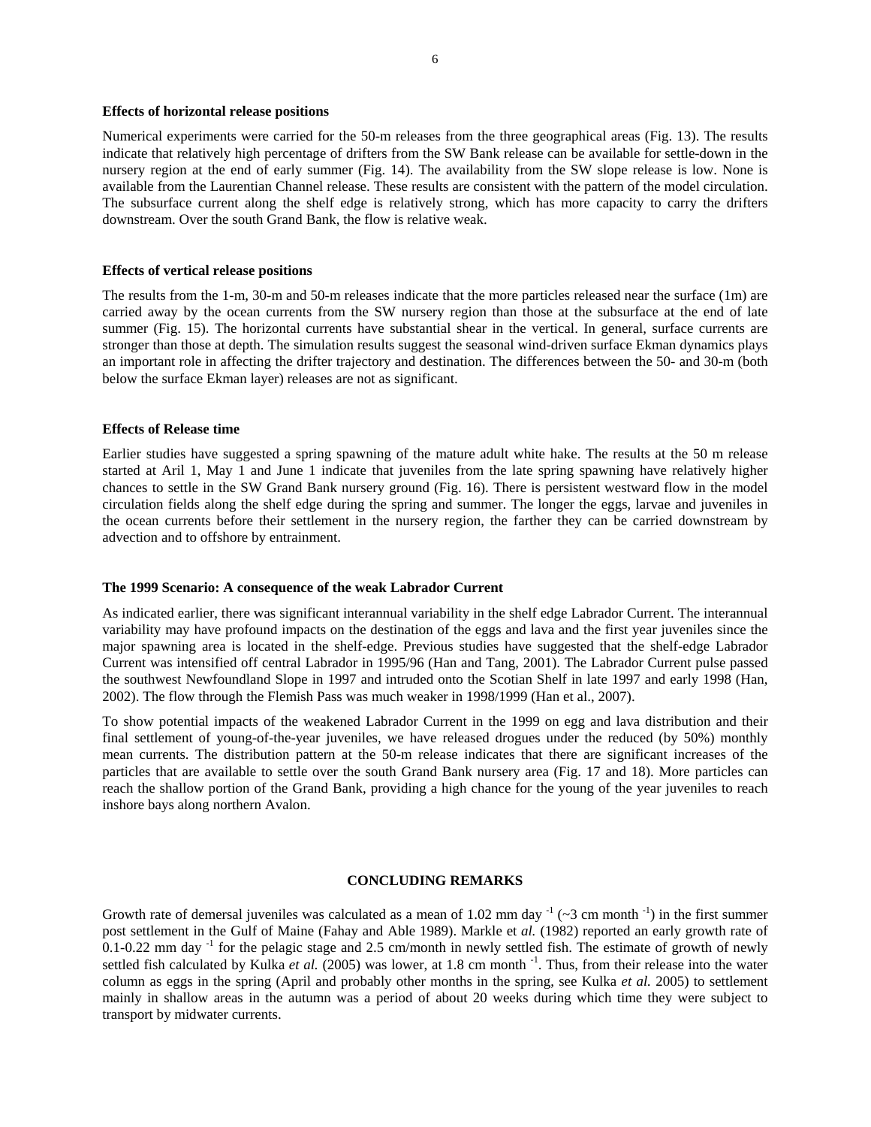#### **Effects of horizontal release positions**

Numerical experiments were carried for the 50-m releases from the three geographical areas (Fig. 13). The results indicate that relatively high percentage of drifters from the SW Bank release can be available for settle-down in the nursery region at the end of early summer (Fig. 14). The availability from the SW slope release is low. None is available from the Laurentian Channel release. These results are consistent with the pattern of the model circulation. The subsurface current along the shelf edge is relatively strong, which has more capacity to carry the drifters downstream. Over the south Grand Bank, the flow is relative weak.

## **Effects of vertical release positions**

The results from the 1-m, 30-m and 50-m releases indicate that the more particles released near the surface (1m) are carried away by the ocean currents from the SW nursery region than those at the subsurface at the end of late summer (Fig. 15). The horizontal currents have substantial shear in the vertical. In general, surface currents are stronger than those at depth. The simulation results suggest the seasonal wind-driven surface Ekman dynamics plays an important role in affecting the drifter trajectory and destination. The differences between the 50- and 30-m (both below the surface Ekman layer) releases are not as significant.

# **Effects of Release time**

Earlier studies have suggested a spring spawning of the mature adult white hake. The results at the 50 m release started at Aril 1, May 1 and June 1 indicate that juveniles from the late spring spawning have relatively higher chances to settle in the SW Grand Bank nursery ground (Fig. 16). There is persistent westward flow in the model circulation fields along the shelf edge during the spring and summer. The longer the eggs, larvae and juveniles in the ocean currents before their settlement in the nursery region, the farther they can be carried downstream by advection and to offshore by entrainment.

# **The 1999 Scenario: A consequence of the weak Labrador Current**

As indicated earlier, there was significant interannual variability in the shelf edge Labrador Current. The interannual variability may have profound impacts on the destination of the eggs and lava and the first year juveniles since the major spawning area is located in the shelf-edge. Previous studies have suggested that the shelf-edge Labrador Current was intensified off central Labrador in 1995/96 (Han and Tang, 2001). The Labrador Current pulse passed the southwest Newfoundland Slope in 1997 and intruded onto the Scotian Shelf in late 1997 and early 1998 (Han, 2002). The flow through the Flemish Pass was much weaker in 1998/1999 (Han et al., 2007).

To show potential impacts of the weakened Labrador Current in the 1999 on egg and lava distribution and their final settlement of young-of-the-year juveniles, we have released drogues under the reduced (by 50%) monthly mean currents. The distribution pattern at the 50-m release indicates that there are significant increases of the particles that are available to settle over the south Grand Bank nursery area (Fig. 17 and 18). More particles can reach the shallow portion of the Grand Bank, providing a high chance for the young of the year juveniles to reach inshore bays along northern Avalon.

# **CONCLUDING REMARKS**

Growth rate of demersal juveniles was calculated as a mean of 1.02 mm day  $(2.3 \text{ cm} \text{ month}^{-1})$  in the first summer post settlement in the Gulf of Maine (Fahay and Able 1989). Markle et *al.* (1982) reported an early growth rate of  $0.1$ -0.22 mm day  $^{-1}$  for the pelagic stage and 2.5 cm/month in newly settled fish. The estimate of growth of newly settled fish calculated by Kulka *et al.* (2005) was lower, at 1.8 cm month <sup>-1</sup>. Thus, from their release into the water column as eggs in the spring (April and probably other months in the spring, see Kulka *et al.* 2005) to settlement mainly in shallow areas in the autumn was a period of about 20 weeks during which time they were subject to transport by midwater currents.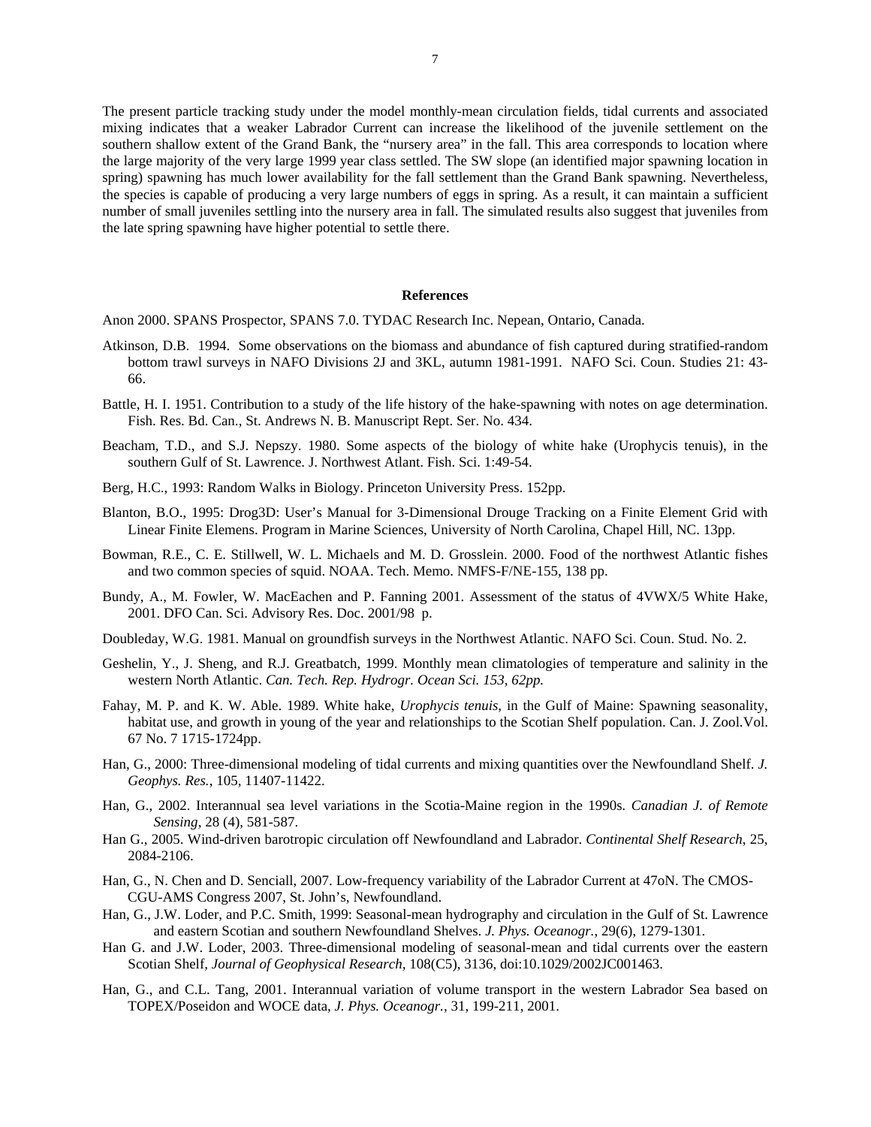The present particle tracking study under the model monthly-mean circulation fields, tidal currents and associated mixing indicates that a weaker Labrador Current can increase the likelihood of the juvenile settlement on the southern shallow extent of the Grand Bank, the "nursery area" in the fall. This area corresponds to location where the large majority of the very large 1999 year class settled. The SW slope (an identified major spawning location in spring) spawning has much lower availability for the fall settlement than the Grand Bank spawning. Nevertheless, the species is capable of producing a very large numbers of eggs in spring. As a result, it can maintain a sufficient number of small juveniles settling into the nursery area in fall. The simulated results also suggest that juveniles from the late spring spawning have higher potential to settle there.

## **References**

Anon 2000. SPANS Prospector, SPANS 7.0. TYDAC Research Inc. Nepean, Ontario, Canada.

- Atkinson, D.B. 1994. Some observations on the biomass and abundance of fish captured during stratified-random bottom trawl surveys in NAFO Divisions 2J and 3KL, autumn 1981-1991. NAFO Sci. Coun. Studies 21: 43- 66.
- Battle, H. I. 1951. Contribution to a study of the life history of the hake-spawning with notes on age determination. Fish. Res. Bd. Can., St. Andrews N. B. Manuscript Rept. Ser. No. 434.
- Beacham, T.D., and S.J. Nepszy. 1980. Some aspects of the biology of white hake (Urophycis tenuis), in the southern Gulf of St. Lawrence. J. Northwest Atlant. Fish. Sci. 1:49-54.
- Berg, H.C., 1993: Random Walks in Biology. Princeton University Press. 152pp.
- Blanton, B.O., 1995: Drog3D: User's Manual for 3-Dimensional Drouge Tracking on a Finite Element Grid with Linear Finite Elemens. Program in Marine Sciences, University of North Carolina, Chapel Hill, NC. 13pp.
- Bowman, R.E., C. E. Stillwell, W. L. Michaels and M. D. Grosslein. 2000. Food of the northwest Atlantic fishes and two common species of squid. NOAA. Tech. Memo. NMFS-F/NE-155, 138 pp.
- Bundy, A., M. Fowler, W. MacEachen and P. Fanning 2001. Assessment of the status of 4VWX/5 White Hake, 2001. DFO Can. Sci. Advisory Res. Doc. 2001/98 p.
- Doubleday, W.G. 1981. Manual on groundfish surveys in the Northwest Atlantic. NAFO Sci. Coun. Stud. No. 2.
- Geshelin, Y., J. Sheng, and R.J. Greatbatch, 1999. Monthly mean climatologies of temperature and salinity in the western North Atlantic. *Can. Tech. Rep. Hydrogr. Ocean Sci. 153, 62pp.*
- Fahay, M. P. and K. W. Able. 1989. White hake, *Urophycis tenuis,* in the Gulf of Maine: Spawning seasonality, habitat use, and growth in young of the year and relationships to the Scotian Shelf population. Can. J. Zool.Vol. 67 No. 7 1715-1724pp.
- Han, G., 2000: Three-dimensional modeling of tidal currents and mixing quantities over the Newfoundland Shelf. *J. Geophys. Res.*, 105, 11407-11422.
- Han, G., 2002. Interannual sea level variations in the Scotia-Maine region in the 1990s*. Canadian J. of Remote Sensing*, 28 (4), 581-587.
- Han G., 2005. Wind-driven barotropic circulation off Newfoundland and Labrador. *Continental Shelf Research*, 25, 2084-2106.
- Han, G., N. Chen and D. Senciall, 2007. Low-frequency variability of the Labrador Current at 47oN. The CMOS-CGU-AMS Congress 2007, St. John's, Newfoundland.
- Han, G., J.W. Loder, and P.C. Smith, 1999: Seasonal-mean hydrography and circulation in the Gulf of St. Lawrence and eastern Scotian and southern Newfoundland Shelves. *J. Phys. Oceanogr.*, 29(6), 1279-1301.
- Han G. and J.W. Loder, 2003. Three-dimensional modeling of seasonal-mean and tidal currents over the eastern Scotian Shelf, *Journal of Geophysical Research*, 108(C5), 3136, doi:10.1029/2002JC001463.
- Han, G., and C.L. Tang, 2001. Interannual variation of volume transport in the western Labrador Sea based on TOPEX/Poseidon and WOCE data, *J. Phys. Oceanogr.,* 31, 199-211, 2001.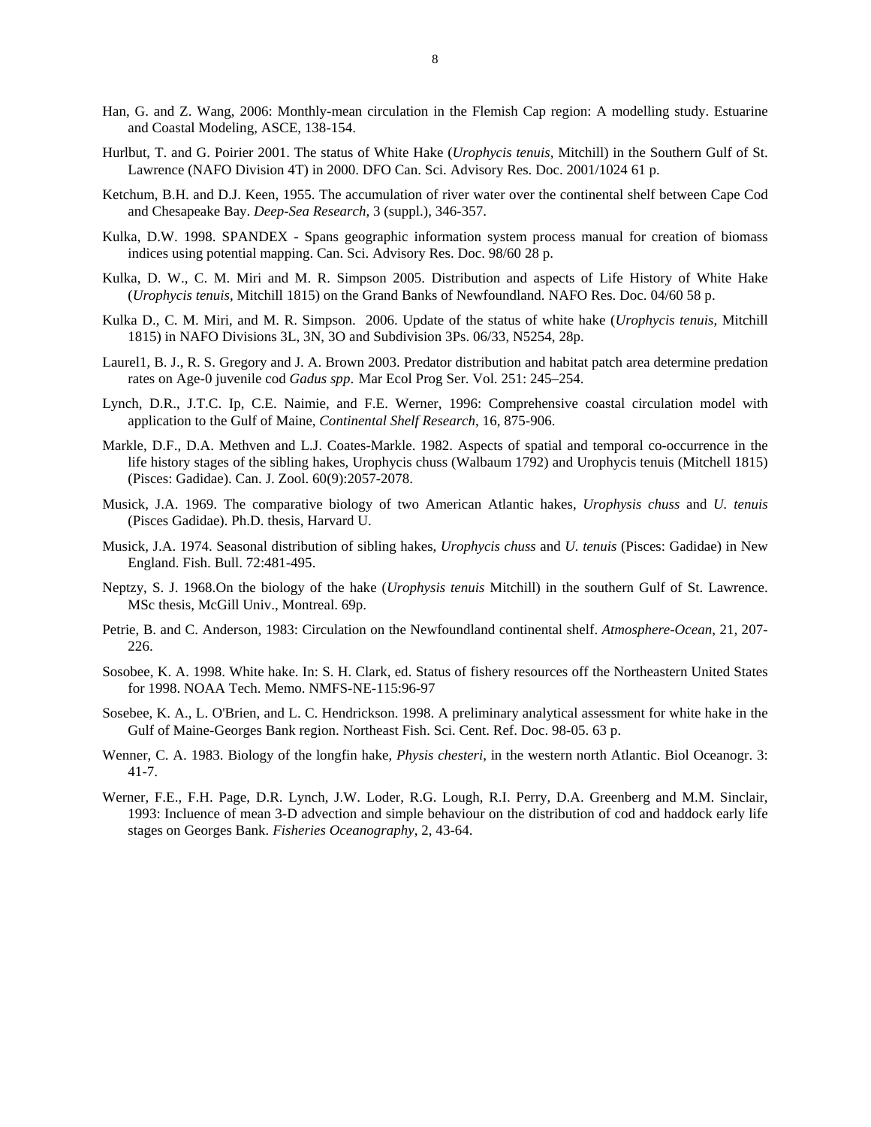- Han, G. and Z. Wang, 2006: Monthly-mean circulation in the Flemish Cap region: A modelling study. Estuarine and Coastal Modeling, ASCE, 138-154.
- Hurlbut, T. and G. Poirier 2001. The status of White Hake (*Urophycis tenuis,* Mitchill) in the Southern Gulf of St. Lawrence (NAFO Division 4T) in 2000. DFO Can. Sci. Advisory Res. Doc. 2001/1024 61 p.
- Ketchum, B.H. and D.J. Keen, 1955. The accumulation of river water over the continental shelf between Cape Cod and Chesapeake Bay. *Deep-Sea Research*, 3 (suppl.), 346-357.
- Kulka, D.W. 1998. SPANDEX Spans geographic information system process manual for creation of biomass indices using potential mapping. Can. Sci. Advisory Res. Doc. 98/60 28 p.
- Kulka, D. W., C. M. Miri and M. R. Simpson 2005. Distribution and aspects of Life History of White Hake (*Urophycis tenuis*, Mitchill 1815) on the Grand Banks of Newfoundland. NAFO Res. Doc. 04/60 58 p.
- Kulka D., C. M. Miri, and M. R. Simpson. 2006. Update of the status of white hake (*Urophycis tenuis*, Mitchill 1815) in NAFO Divisions 3L, 3N, 3O and Subdivision 3Ps. 06/33, N5254, 28p.
- Laurel1, B. J., R. S. Gregory and J. A. Brown 2003. Predator distribution and habitat patch area determine predation rates on Age-0 juvenile cod *Gadus spp*. Mar Ecol Prog Ser. Vol. 251: 245–254.
- Lynch, D.R., J.T.C. Ip, C.E. Naimie, and F.E. Werner, 1996: Comprehensive coastal circulation model with application to the Gulf of Maine, *Continental Shelf Research*, 16, 875-906.
- Markle, D.F., D.A. Methven and L.J. Coates-Markle. 1982. Aspects of spatial and temporal co-occurrence in the life history stages of the sibling hakes, Urophycis chuss (Walbaum 1792) and Urophycis tenuis (Mitchell 1815) (Pisces: Gadidae). Can. J. Zool. 60(9):2057-2078.
- Musick, J.A. 1969. The comparative biology of two American Atlantic hakes, *Urophysis chuss* and *U. tenuis* (Pisces Gadidae). Ph.D. thesis, Harvard U.
- Musick, J.A. 1974. Seasonal distribution of sibling hakes, *Urophycis chuss* and *U. tenuis* (Pisces: Gadidae) in New England. Fish. Bull. 72:481-495.
- Neptzy, S. J. 1968.On the biology of the hake (*Urophysis tenuis* Mitchill) in the southern Gulf of St. Lawrence. MSc thesis, McGill Univ., Montreal. 69p.
- Petrie, B. and C. Anderson, 1983: Circulation on the Newfoundland continental shelf. *Atmosphere-Ocean*, 21, 207- 226.
- Sosobee, K. A. 1998. White hake. In: S. H. Clark, ed. Status of fishery resources off the Northeastern United States for 1998. NOAA Tech. Memo. NMFS-NE-115:96-97
- Sosebee, K. A., L. O'Brien, and L. C. Hendrickson. 1998. A preliminary analytical assessment for white hake in the Gulf of Maine-Georges Bank region. Northeast Fish. Sci. Cent. Ref. Doc. 98-05. 63 p.
- Wenner, C. A. 1983. Biology of the longfin hake, *Physis chesteri*, in the western north Atlantic. Biol Oceanogr. 3: 41-7.
- Werner, F.E., F.H. Page, D.R. Lynch, J.W. Loder, R.G. Lough, R.I. Perry, D.A. Greenberg and M.M. Sinclair, 1993: Incluence of mean 3-D advection and simple behaviour on the distribution of cod and haddock early life stages on Georges Bank. *Fisheries Oceanography*, 2, 43-64.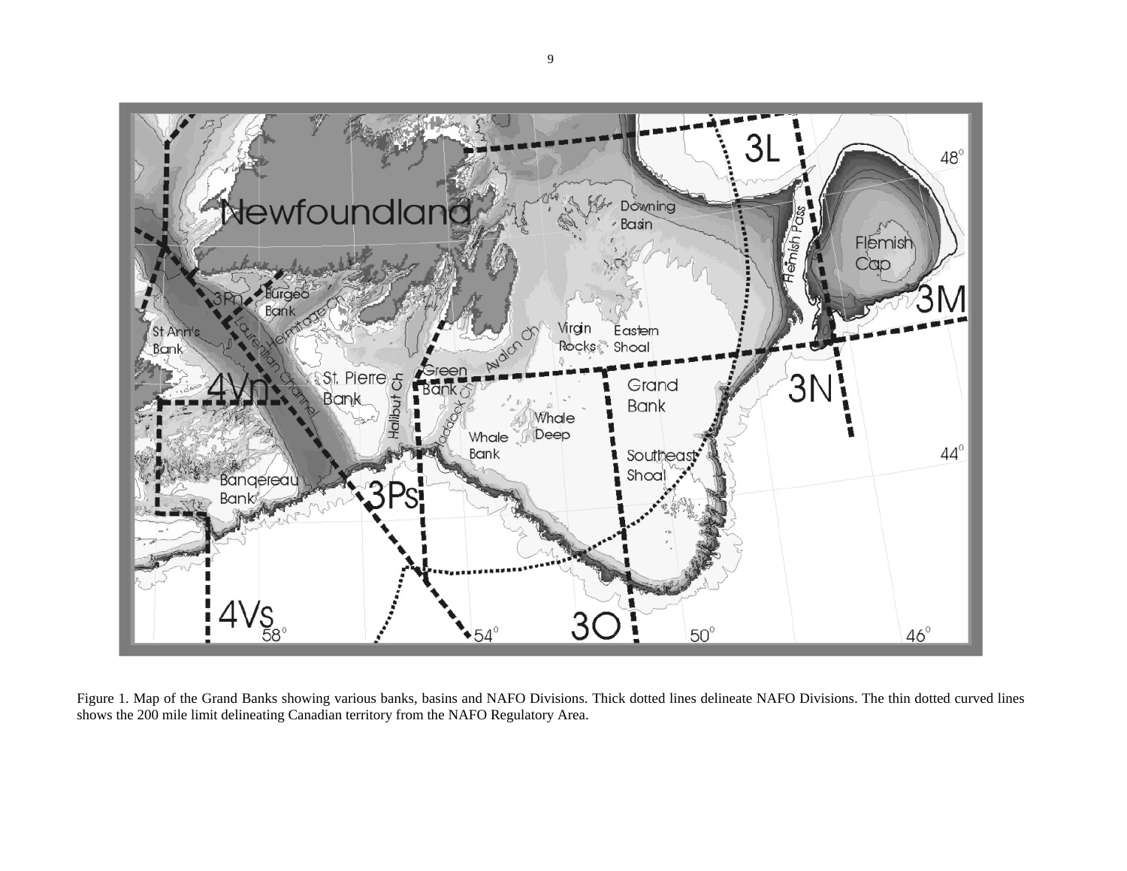

Figure 1. Map of the Grand Banks showing various banks, basins and NAFO Divisions. Thick dotted lines delineate NAFO Divisions. The thin dotted curved lines shows the 200 mile limit delineating Canadian territory from the NAFO Regulatory Area.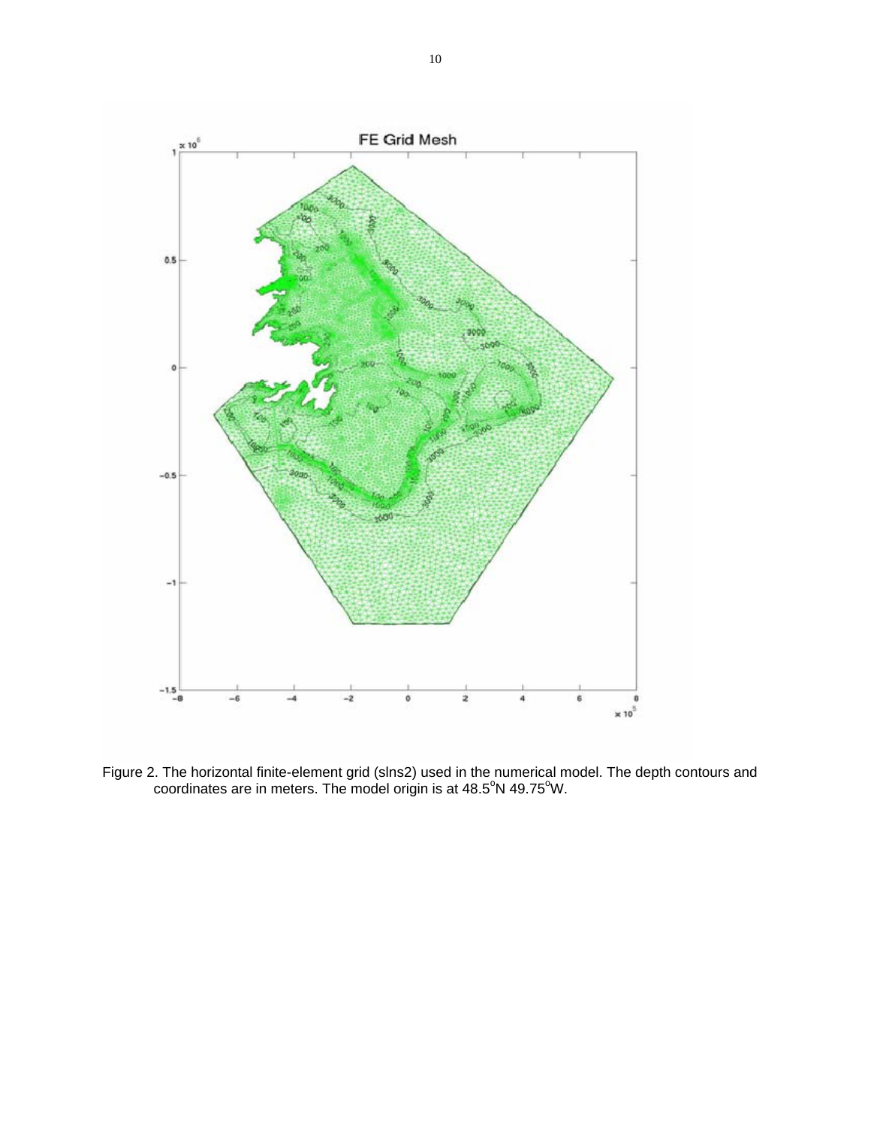

Figure 2. The horizontal finite-element grid (slns2) used in the numerical model. The depth contours and coordinates are in meters. The model origin is at  $48.5^{\circ}$ N  $49.75^{\circ}$ W.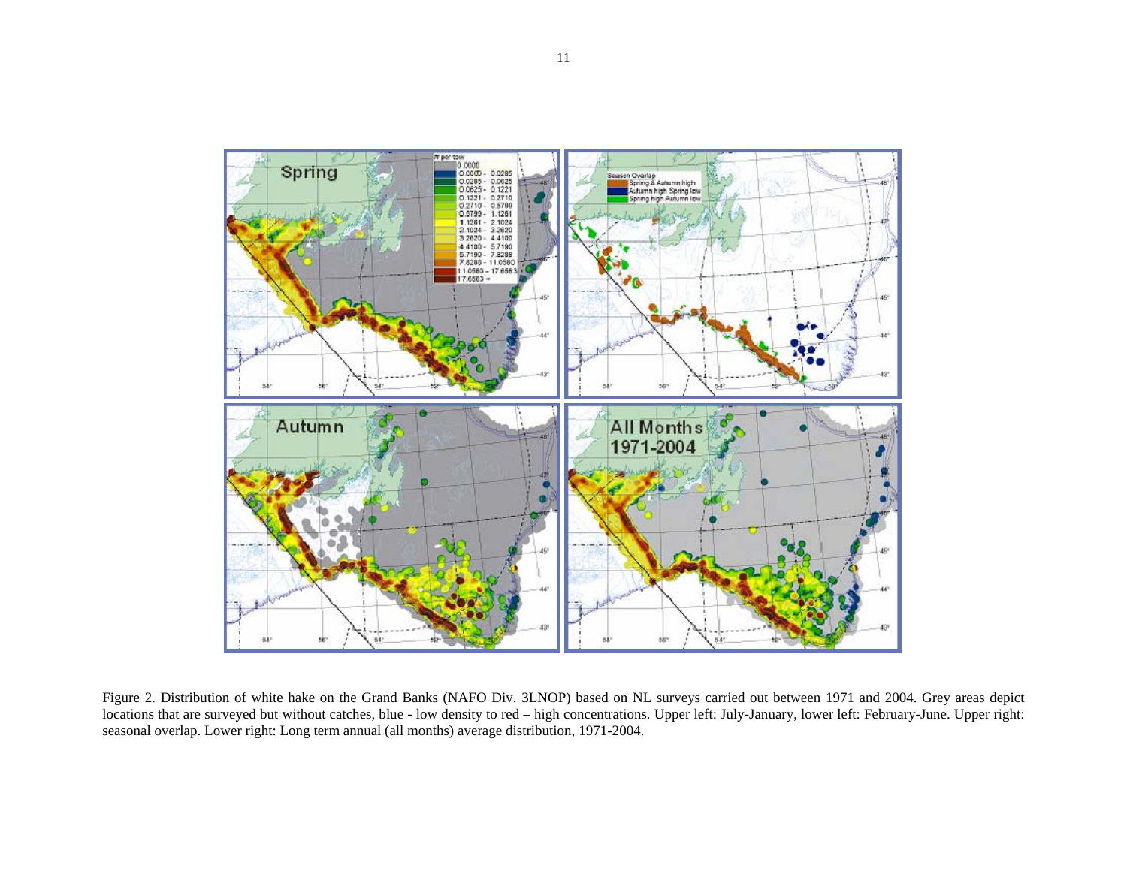

Figure 2. Distribution of white hake on the Grand Banks (NAFO Div. 3LNOP) based on NL surveys carried out between 1971 and 2004. Grey areas depict locations that are surveyed but without catches, blue - low density to red – high concentrations. Upper left: July-January, lower left: February-June. Upper right: seasonal overlap. Lower right: Long term annual (all months) average distribution, 1971-2004.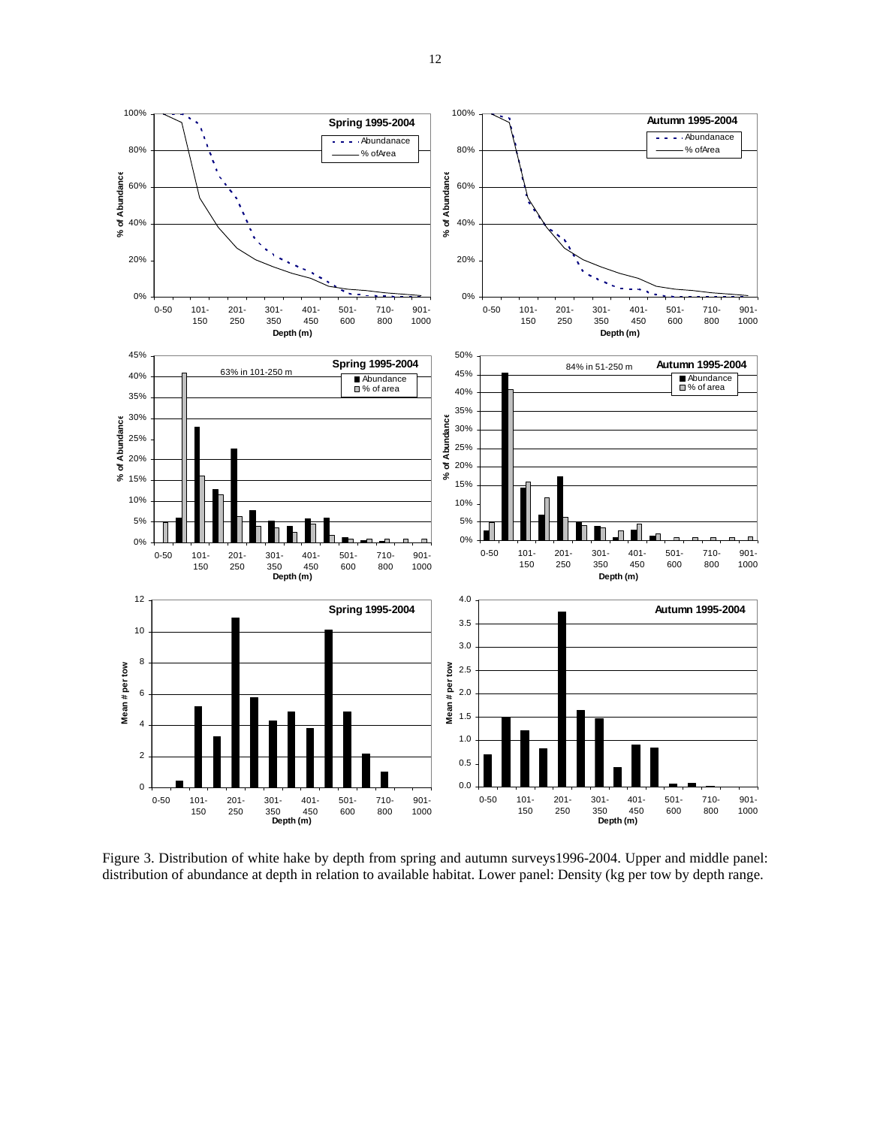

Figure 3. Distribution of white hake by depth from spring and autumn surveys1996-2004. Upper and middle panel: distribution of abundance at depth in relation to available habitat. Lower panel: Density (kg per tow by depth range.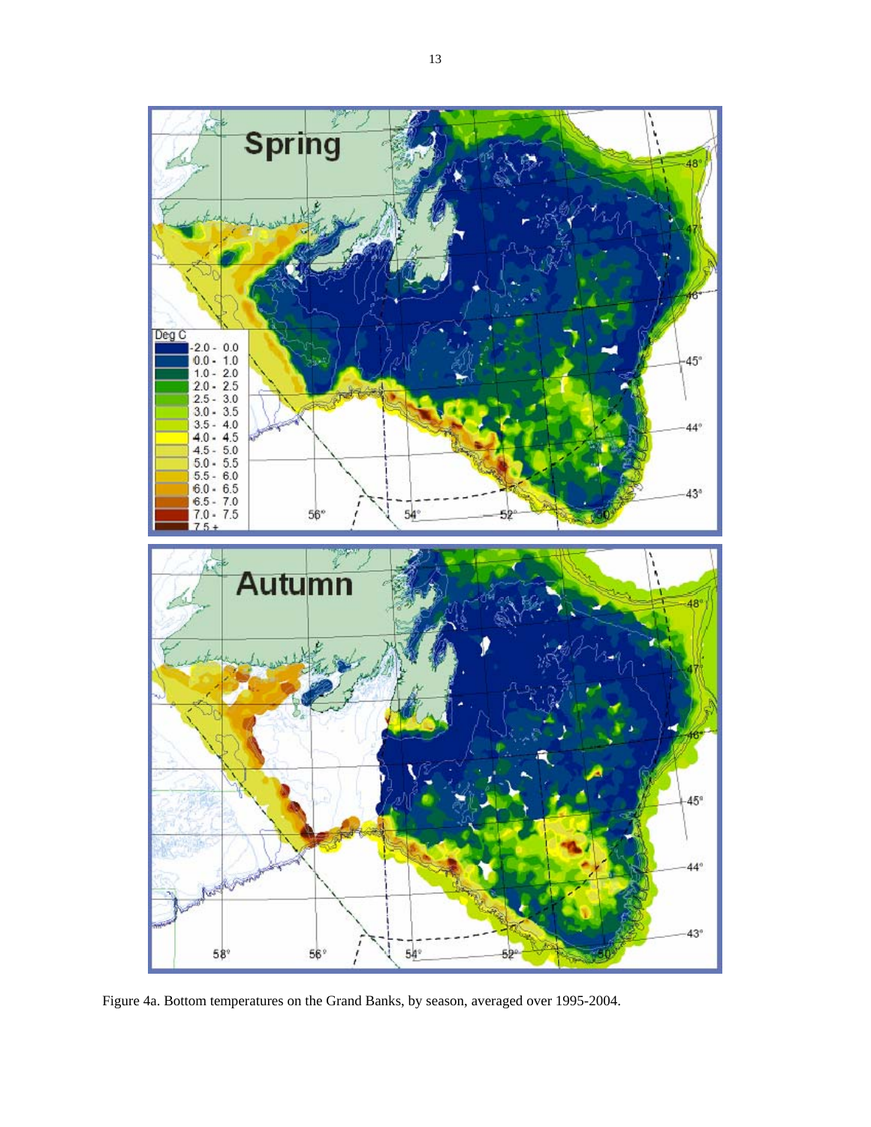

Figure 4a. Bottom temperatures on the Grand Banks, by season, averaged over 1995-2004.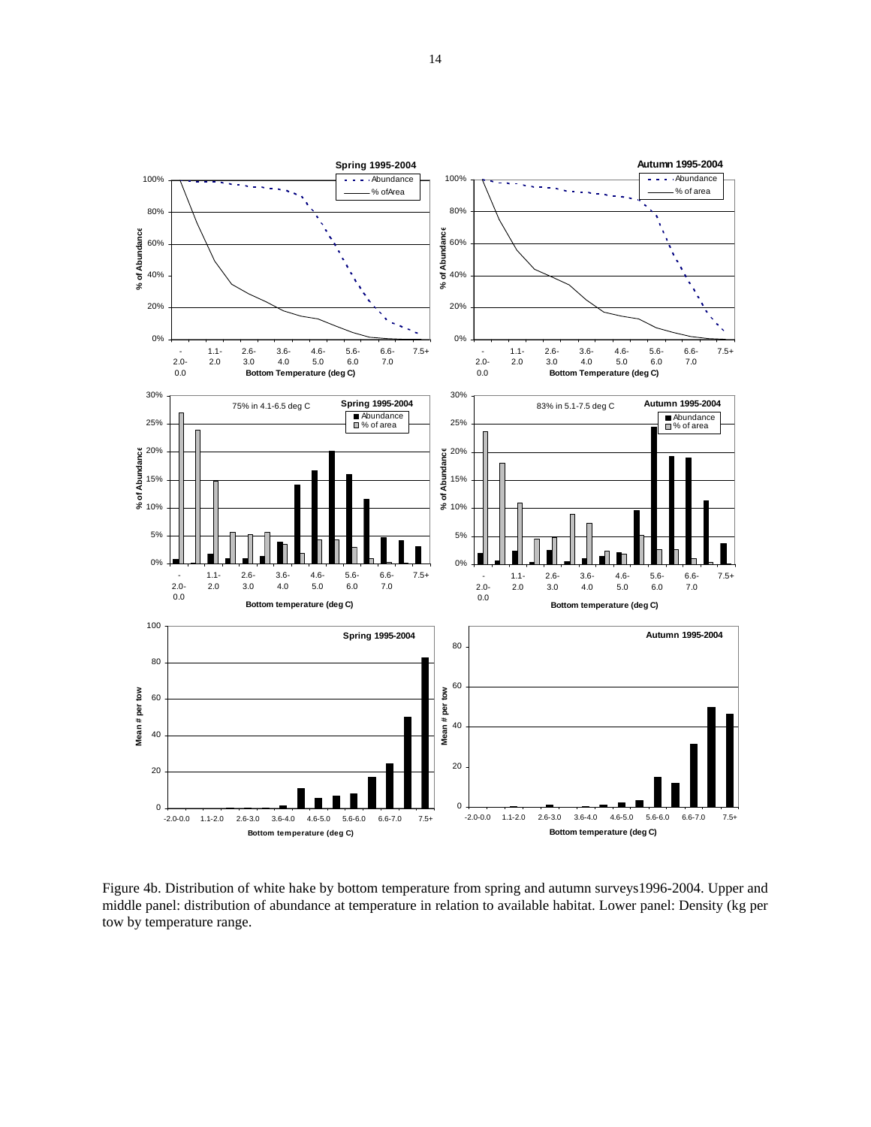

Figure 4b. Distribution of white hake by bottom temperature from spring and autumn surveys1996-2004. Upper and middle panel: distribution of abundance at temperature in relation to available habitat. Lower panel: Density (kg per tow by temperature range.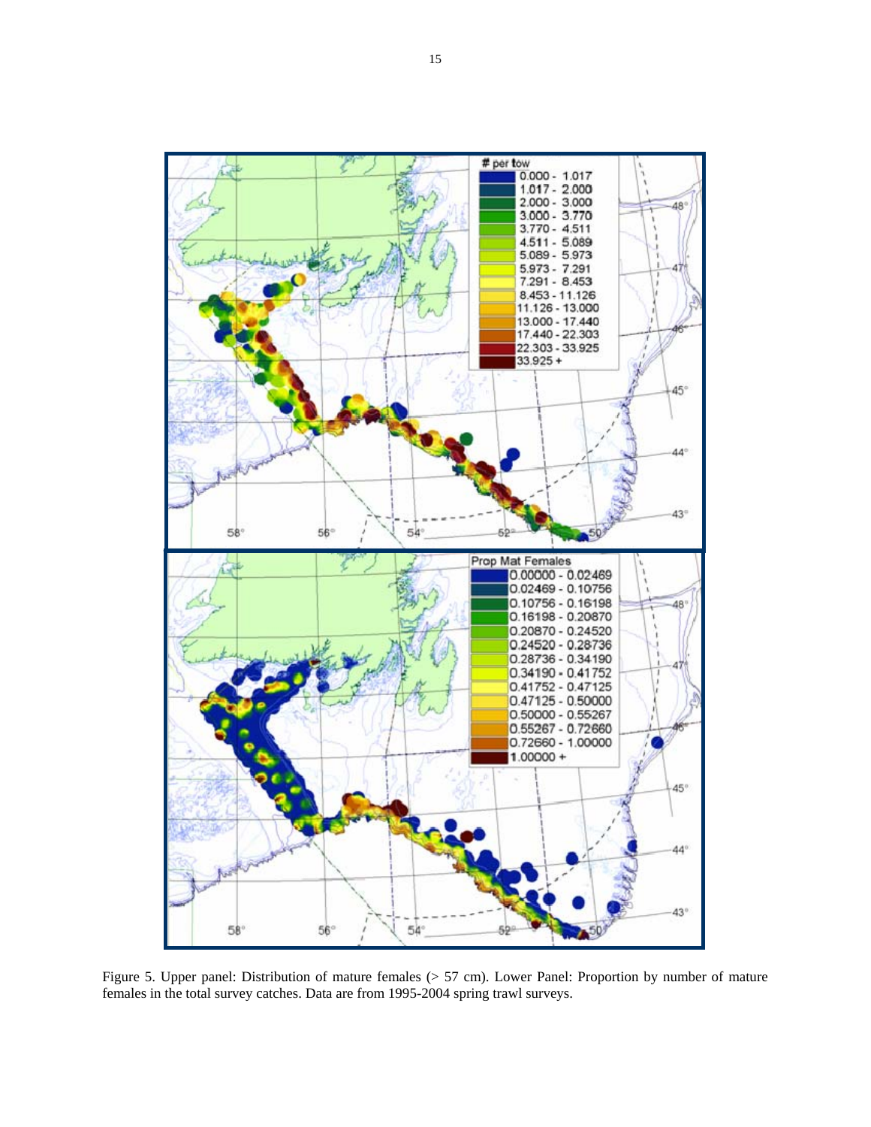

Figure 5. Upper panel: Distribution of mature females (> 57 cm). Lower Panel: Proportion by number of mature females in the total survey catches. Data are from 1995-2004 spring trawl surveys.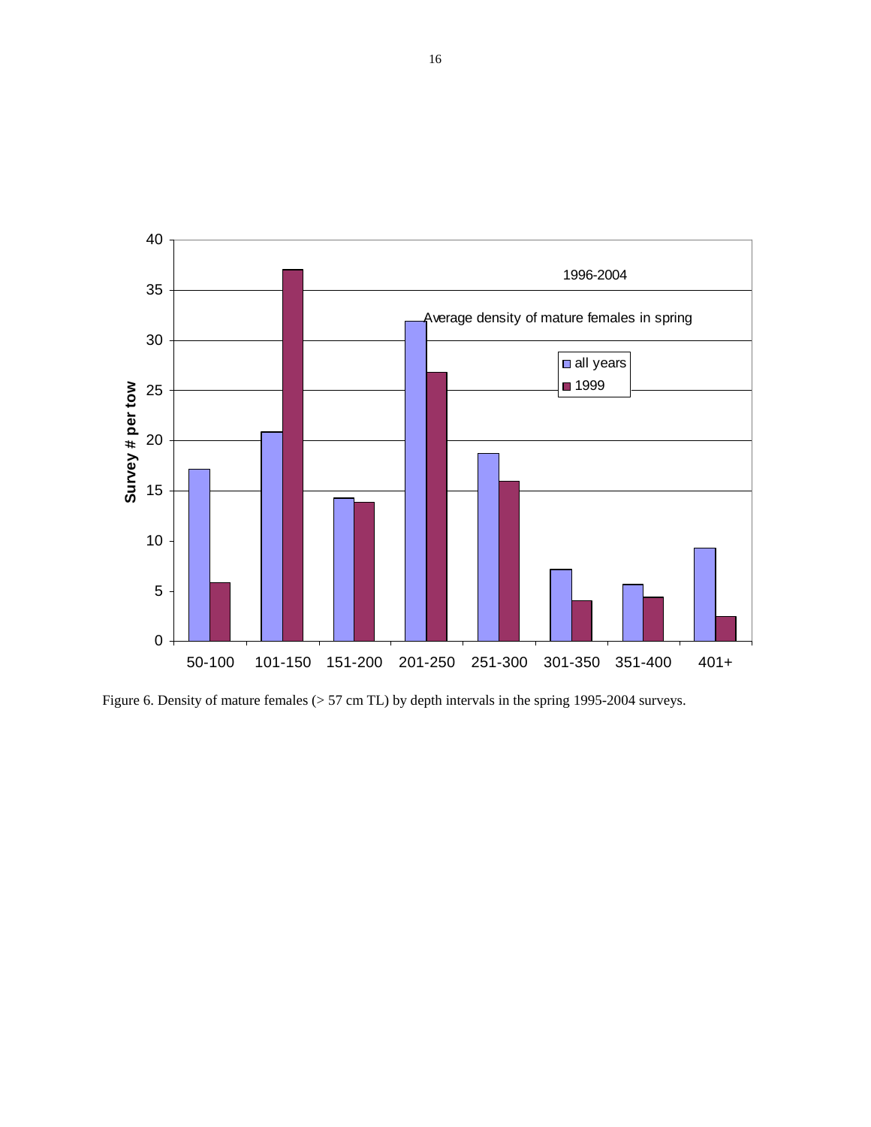

Figure 6. Density of mature females ( $> 57$  cm TL) by depth intervals in the spring 1995-2004 surveys.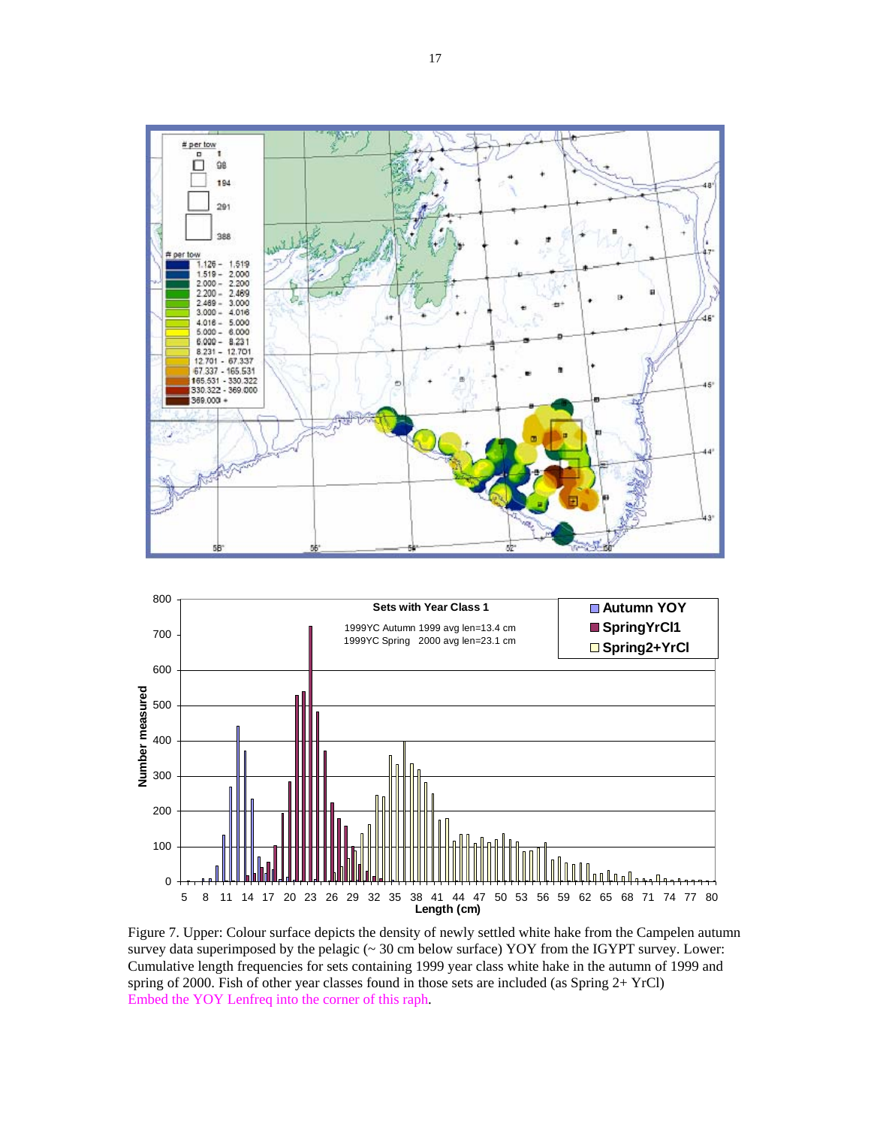



Figure 7. Upper: Colour surface depicts the density of newly settled white hake from the Campelen autumn survey data superimposed by the pelagic (~ 30 cm below surface) YOY from the IGYPT survey. Lower: Cumulative length frequencies for sets containing 1999 year class white hake in the autumn of 1999 and spring of 2000. Fish of other year classes found in those sets are included (as Spring 2+ YrCl) Embed the YOY Lenfreq into the corner of this raph.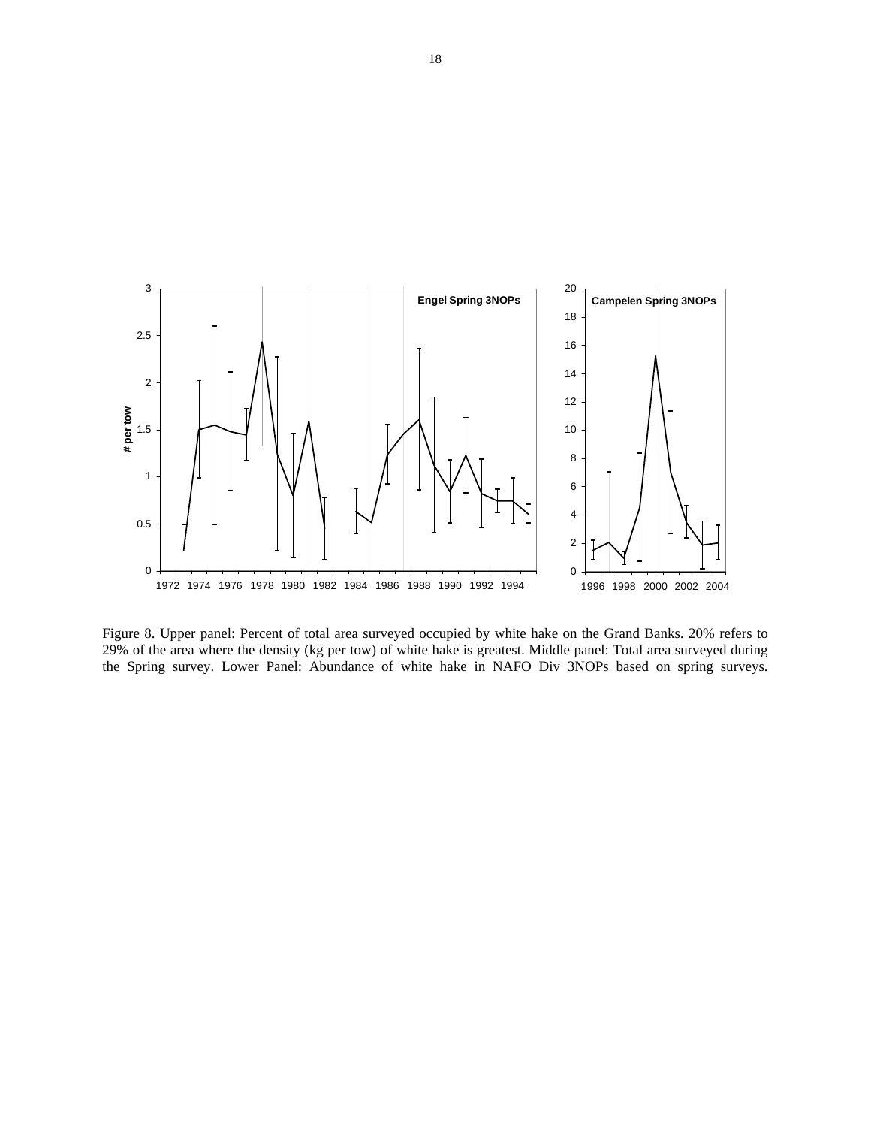

Figure 8. Upper panel: Percent of total area surveyed occupied by white hake on the Grand Banks. 20% refers to 29% of the area where the density (kg per tow) of white hake is greatest. Middle panel: Total area surveyed during the Spring survey. Lower Panel: Abundance of white hake in NAFO Div 3NOPs based on spring surveys.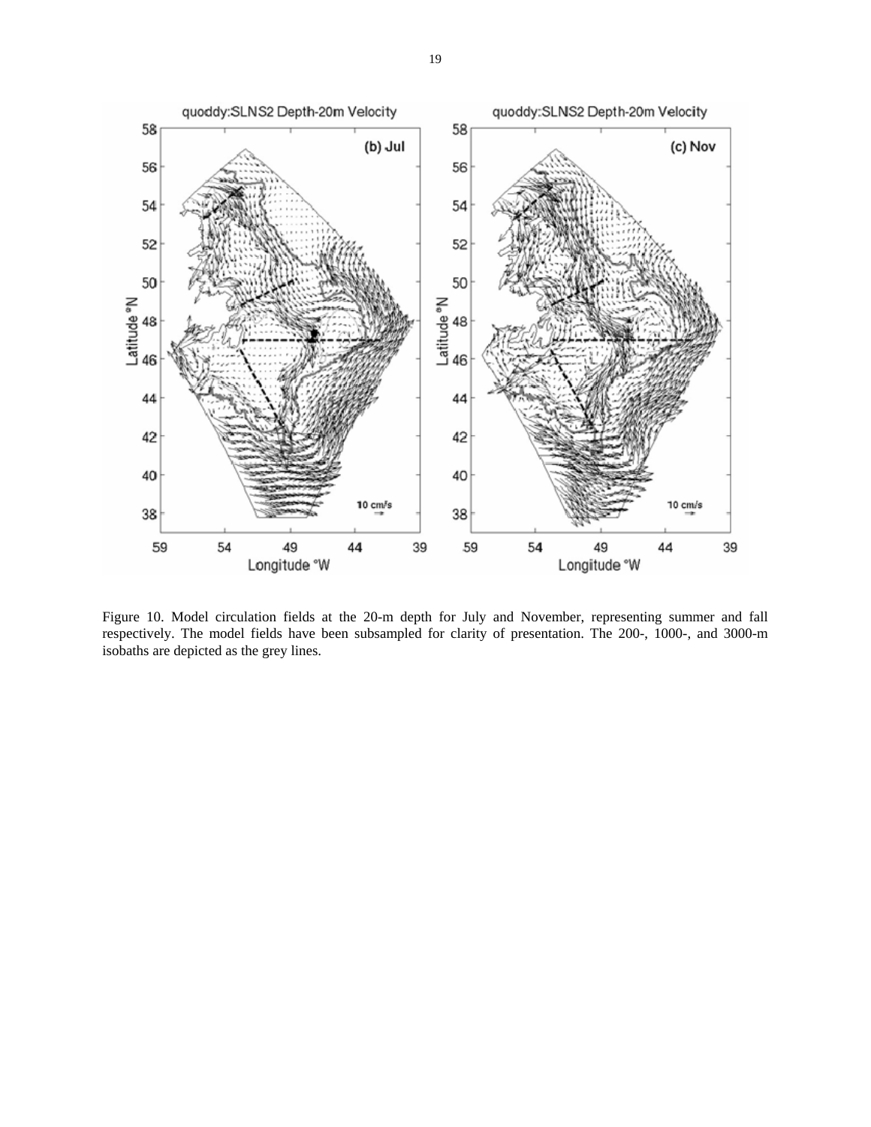

Figure 10. Model circulation fields at the 20-m depth for July and November, representing summer and fall respectively. The model fields have been subsampled for clarity of presentation. The 200-, 1000-, and 3000-m isobaths are depicted as the grey lines.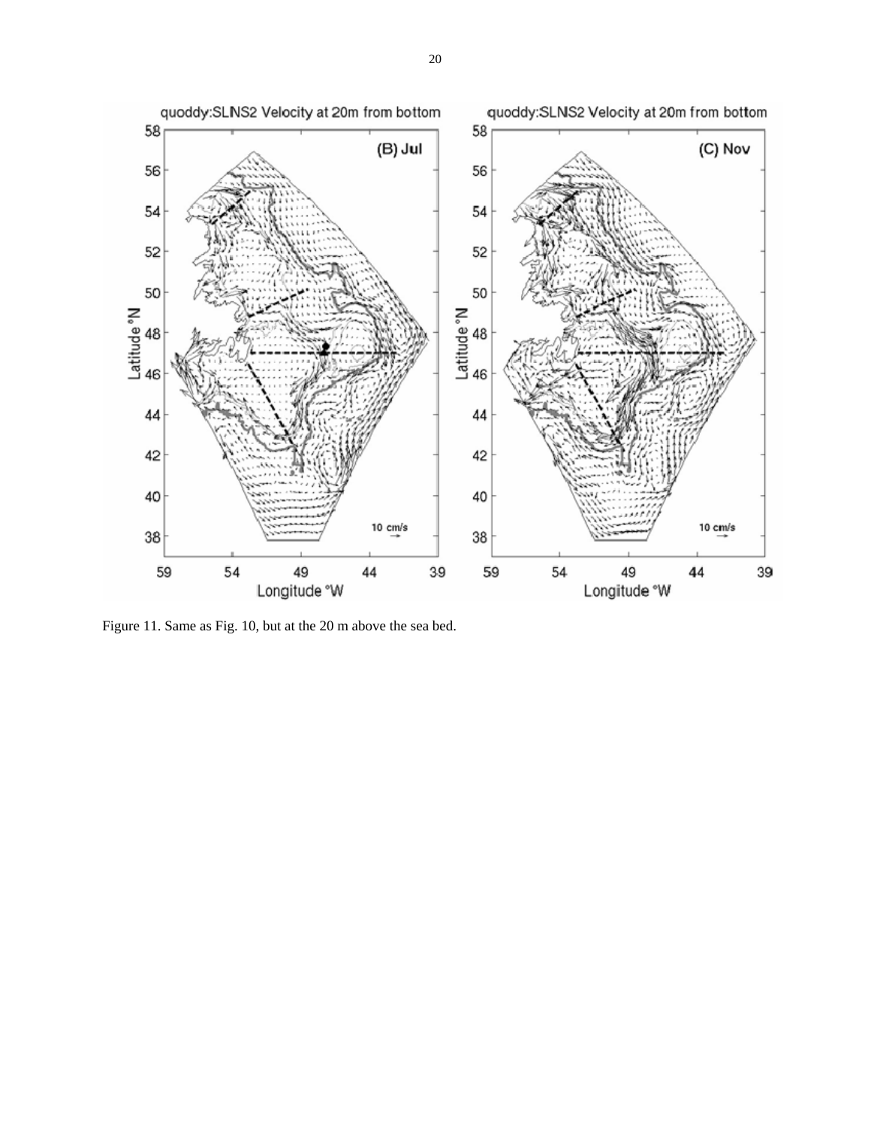

Figure 11. Same as Fig. 10, but at the 20 m above the sea bed.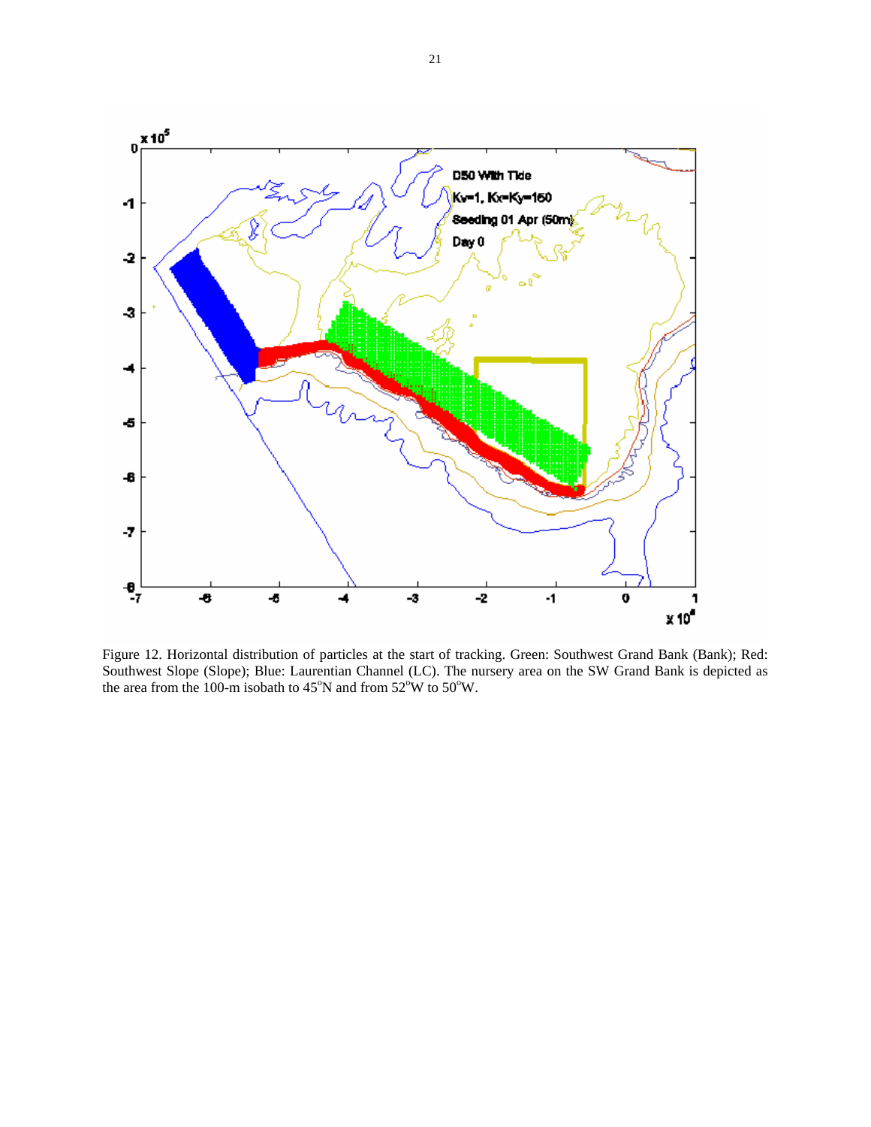

Figure 12. Horizontal distribution of particles at the start of tracking. Green: Southwest Grand Bank (Bank); Red: Southwest Slope (Slope); Blue: Laurentian Channel (LC). The nursery area on the SW Grand Bank is depicted as the area from the 100-m isobath to  $45^{\circ}$ N and from  $52^{\circ}$ W to  $50^{\circ}$ W.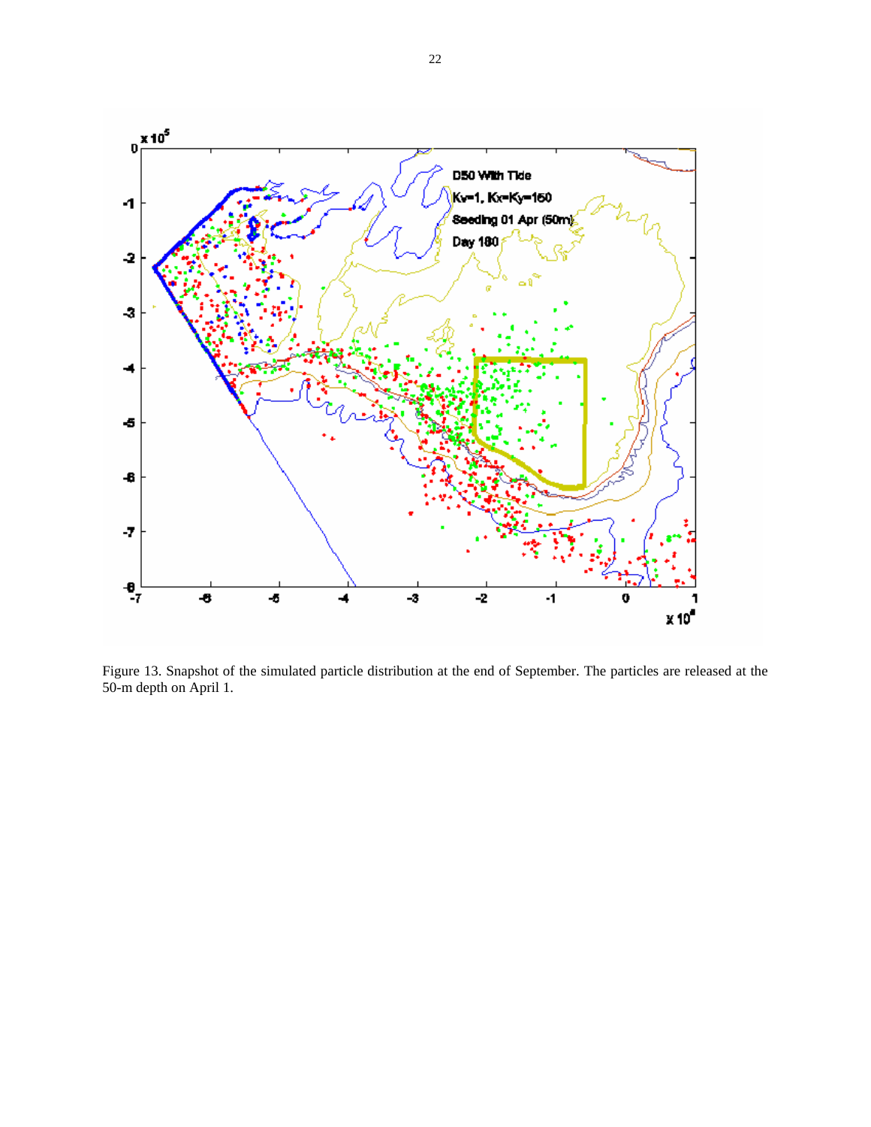

Figure 13. Snapshot of the simulated particle distribution at the end of September. The particles are released at the 50-m depth on April 1.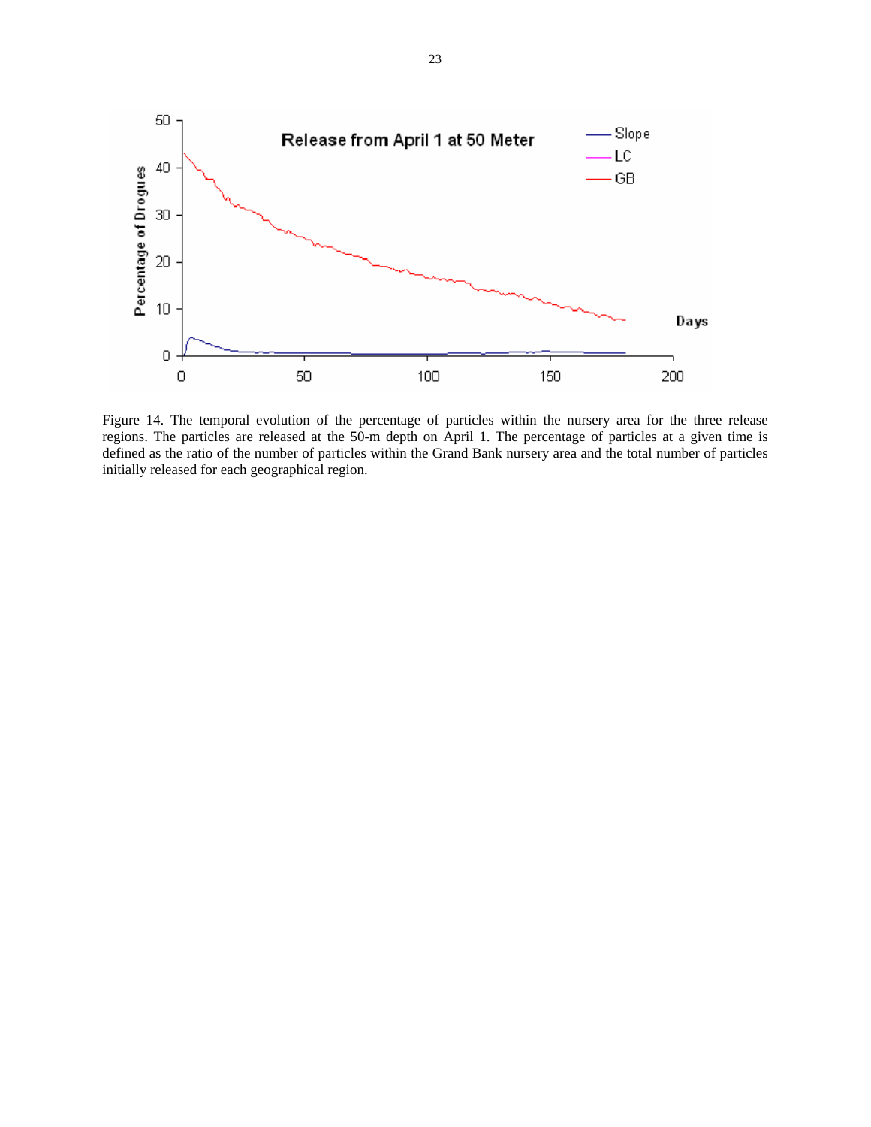

Figure 14. The temporal evolution of the percentage of particles within the nursery area for the three release regions. The particles are released at the 50-m depth on April 1. The percentage of particles at a given time is defined as the ratio of the number of particles within the Grand Bank nursery area and the total number of particles initially released for each geographical region.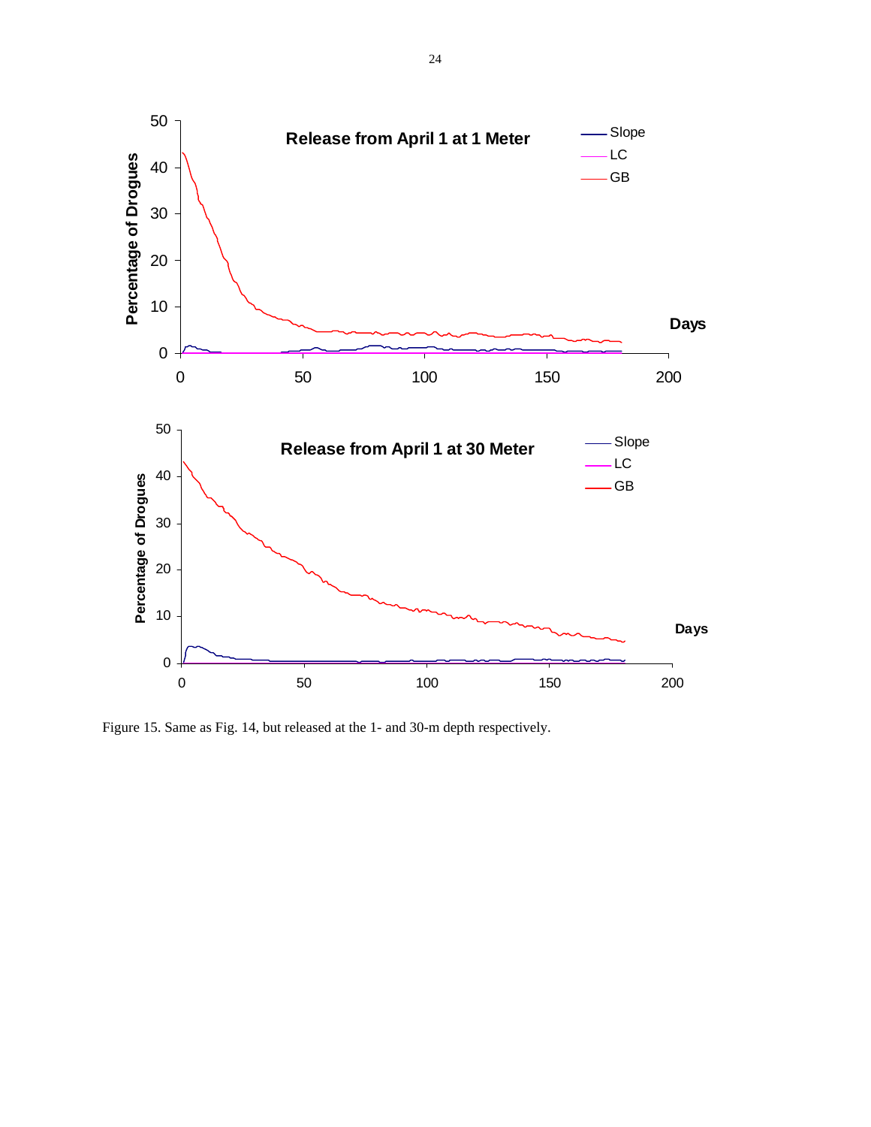

Figure 15. Same as Fig. 14, but released at the 1- and 30-m depth respectively.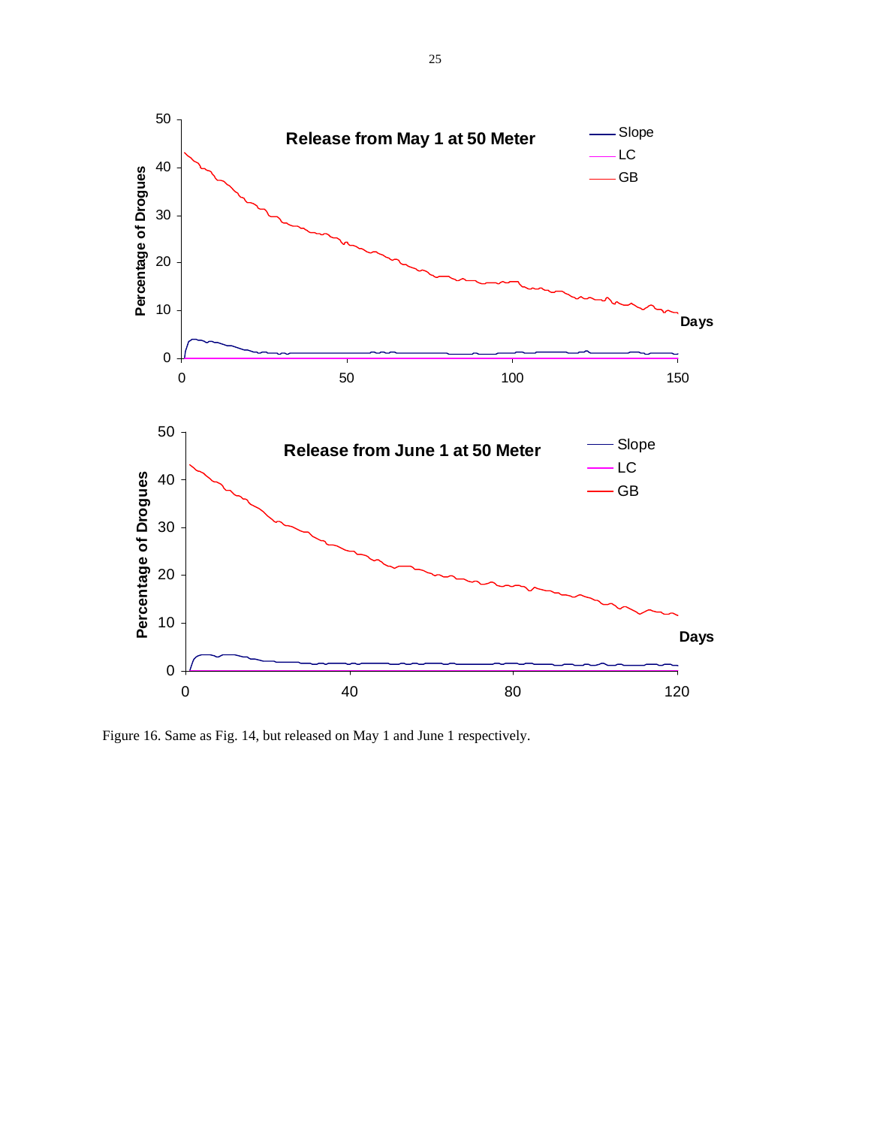

Figure 16. Same as Fig. 14, but released on May 1 and June 1 respectively.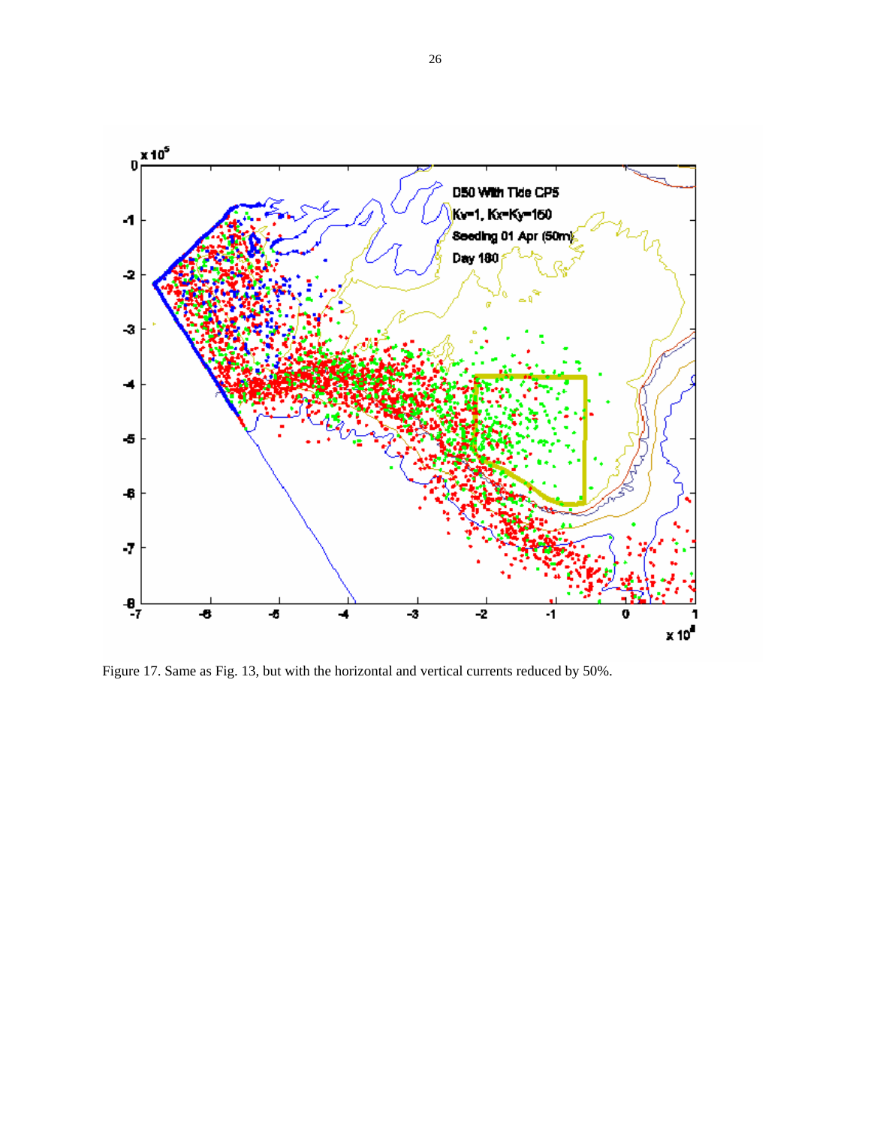

Figure 17. Same as Fig. 13, but with the horizontal and vertical currents reduced by 50%.